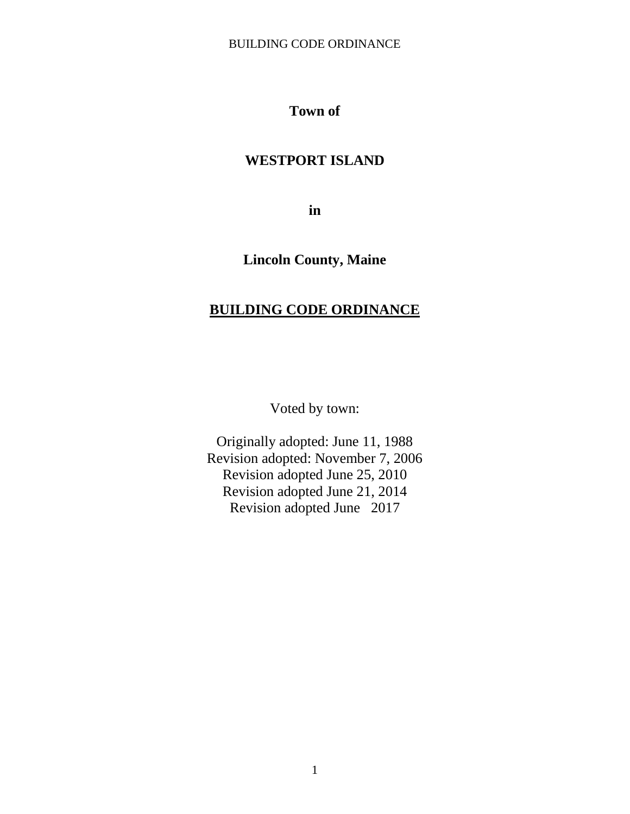# **Town of**

# **WESTPORT ISLAND**

**in**

# **Lincoln County, Maine**

# **BUILDING CODE ORDINANCE**

Voted by town:

Originally adopted: June 11, 1988 Revision adopted: November 7, 2006 Revision adopted June 25, 2010 Revision adopted June 21, 2014 Revision adopted June 2017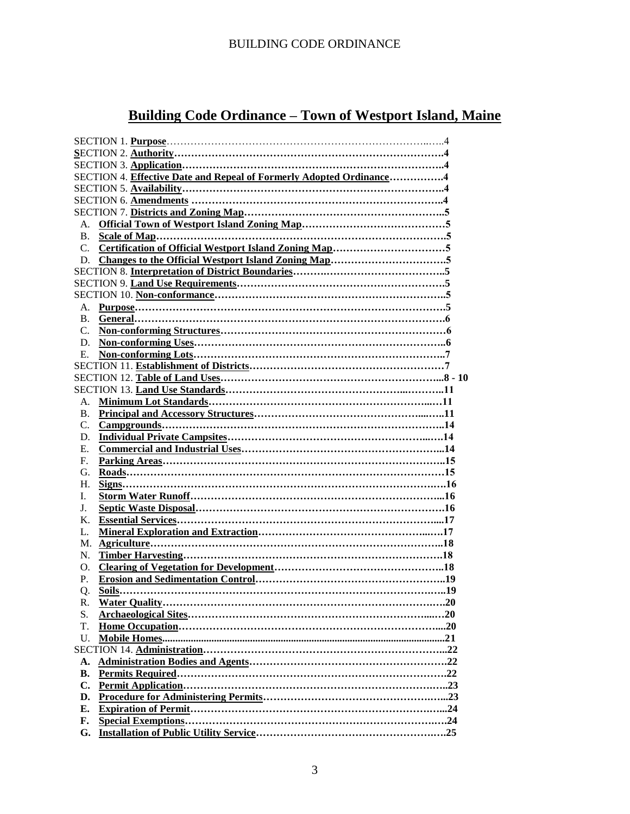# **Building Code Ordinance – Town of Westport Island, Maine**

|                | SECTION 4. Effective Date and Repeal of Formerly Adopted Ordinance4 |
|----------------|---------------------------------------------------------------------|
|                |                                                                     |
|                |                                                                     |
|                |                                                                     |
| $A_{1}$        |                                                                     |
| B <sub>1</sub> |                                                                     |
| $C_{\cdot}$    |                                                                     |
| D.             |                                                                     |
|                |                                                                     |
|                |                                                                     |
|                |                                                                     |
| A.             |                                                                     |
| B <sub>1</sub> |                                                                     |
| $C_{\cdot}$    |                                                                     |
| D.             |                                                                     |
|                |                                                                     |
| E.             |                                                                     |
|                |                                                                     |
|                |                                                                     |
|                |                                                                     |
| A.             |                                                                     |
| <b>B.</b>      |                                                                     |
| $C_{\cdot}$    |                                                                     |
| D.             |                                                                     |
| Е.             |                                                                     |
| F.             |                                                                     |
| G.             |                                                                     |
| H.             |                                                                     |
| I.             |                                                                     |
| J.             |                                                                     |
| K.             |                                                                     |
| L.             |                                                                     |
| М.             |                                                                     |
| N.             |                                                                     |
| O.             |                                                                     |
| P.             |                                                                     |
| Q.             |                                                                     |
| R.             |                                                                     |
| S.             |                                                                     |
| T.             |                                                                     |
| U.             |                                                                     |
|                |                                                                     |
| А.             |                                                                     |
| <b>B.</b>      |                                                                     |
| C.             |                                                                     |
|                |                                                                     |
| D.             |                                                                     |
| Е.             |                                                                     |
| F.             |                                                                     |
| G.             |                                                                     |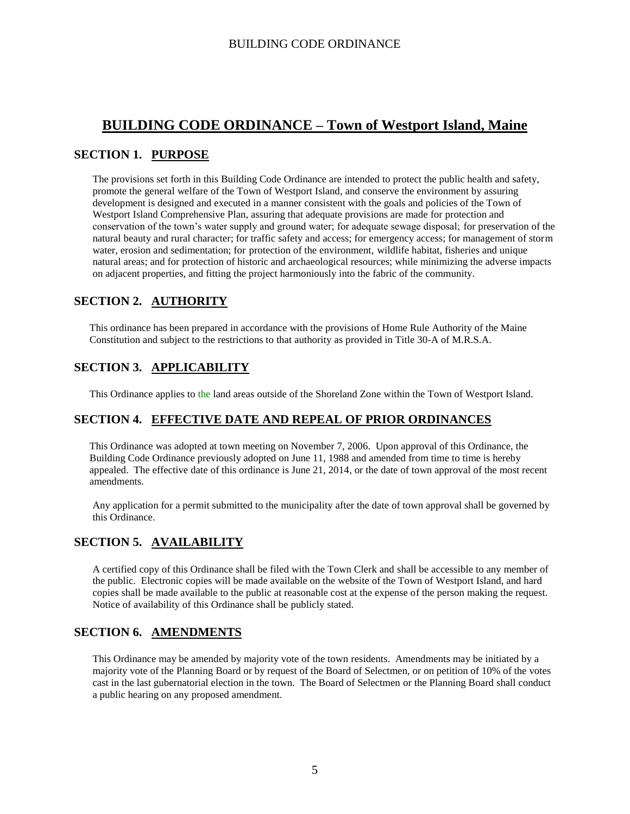# **BUILDING CODE ORDINANCE – Town of Westport Island, Maine**

# **SECTION 1. PURPOSE**

The provisions set forth in this Building Code Ordinance are intended to protect the public health and safety, promote the general welfare of the Town of Westport Island, and conserve the environment by assuring development is designed and executed in a manner consistent with the goals and policies of the Town of Westport Island Comprehensive Plan, assuring that adequate provisions are made for protection and conservation of the town's water supply and ground water; for adequate sewage disposal; for preservation of the natural beauty and rural character; for traffic safety and access; for emergency access; for management of storm water, erosion and sedimentation; for protection of the environment, wildlife habitat, fisheries and unique natural areas; and for protection of historic and archaeological resources; while minimizing the adverse impacts on adjacent properties, and fitting the project harmoniously into the fabric of the community.

# **SECTION 2. AUTHORITY**

This ordinance has been prepared in accordance with the provisions of Home Rule Authority of the Maine Constitution and subject to the restrictions to that authority as provided in Title 30-A of M.R.S.A.

# **SECTION 3. APPLICABILITY**

This Ordinance applies to the land areas outside of the Shoreland Zone within the Town of Westport Island.

# **SECTION 4. EFFECTIVE DATE AND REPEAL OF PRIOR ORDINANCES**

This Ordinance was adopted at town meeting on November 7, 2006. Upon approval of this Ordinance, the Building Code Ordinance previously adopted on June 11, 1988 and amended from time to time is hereby appealed. The effective date of this ordinance is June 21, 2014, or the date of town approval of the most recent amendments.

Any application for a permit submitted to the municipality after the date of town approval shall be governed by this Ordinance.

# **SECTION 5. AVAILABILITY**

A certified copy of this Ordinance shall be filed with the Town Clerk and shall be accessible to any member of the public. Electronic copies will be made available on the website of the Town of Westport Island, and hard copies shall be made available to the public at reasonable cost at the expense of the person making the request. Notice of availability of this Ordinance shall be publicly stated.

# **SECTION 6. AMENDMENTS**

This Ordinance may be amended by majority vote of the town residents. Amendments may be initiated by a majority vote of the Planning Board or by request of the Board of Selectmen, or on petition of 10% of the votes cast in the last gubernatorial election in the town. The Board of Selectmen or the Planning Board shall conduct a public hearing on any proposed amendment.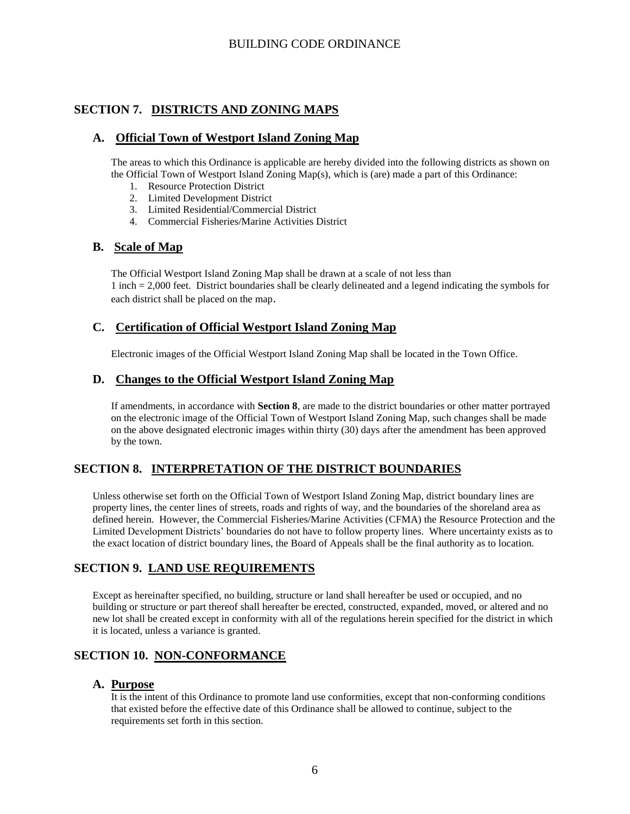# **SECTION 7. DISTRICTS AND ZONING MAPS**

# **A. Official Town of Westport Island Zoning Map**

The areas to which this Ordinance is applicable are hereby divided into the following districts as shown on the Official Town of Westport Island Zoning Map(s), which is (are) made a part of this Ordinance:

- 1. Resource Protection District
- 2. Limited Development District
- 3. Limited Residential/Commercial District
- 4. Commercial Fisheries/Marine Activities District

## **B. Scale of Map**

The Official Westport Island Zoning Map shall be drawn at a scale of not less than 1 inch = 2,000 feet. District boundaries shall be clearly delineated and a legend indicating the symbols for each district shall be placed on the map.

# **C. Certification of Official Westport Island Zoning Map**

Electronic images of the Official Westport Island Zoning Map shall be located in the Town Office.

### **D. Changes to the Official Westport Island Zoning Map**

If amendments, in accordance with **Section 8**, are made to the district boundaries or other matter portrayed on the electronic image of the Official Town of Westport Island Zoning Map, such changes shall be made on the above designated electronic images within thirty (30) days after the amendment has been approved by the town.

# **SECTION 8. INTERPRETATION OF THE DISTRICT BOUNDARIES**

Unless otherwise set forth on the Official Town of Westport Island Zoning Map, district boundary lines are property lines, the center lines of streets, roads and rights of way, and the boundaries of the shoreland area as defined herein. However, the Commercial Fisheries/Marine Activities (CFMA) the Resource Protection and the Limited Development Districts' boundaries do not have to follow property lines. Where uncertainty exists as to the exact location of district boundary lines, the Board of Appeals shall be the final authority as to location.

# **SECTION 9. LAND USE REQUIREMENTS**

Except as hereinafter specified, no building, structure or land shall hereafter be used or occupied, and no building or structure or part thereof shall hereafter be erected, constructed, expanded, moved, or altered and no new lot shall be created except in conformity with all of the regulations herein specified for the district in which it is located, unless a variance is granted.

# **SECTION 10. NON-CONFORMANCE**

### **A. Purpose**

It is the intent of this Ordinance to promote land use conformities, except that non-conforming conditions that existed before the effective date of this Ordinance shall be allowed to continue, subject to the requirements set forth in this section.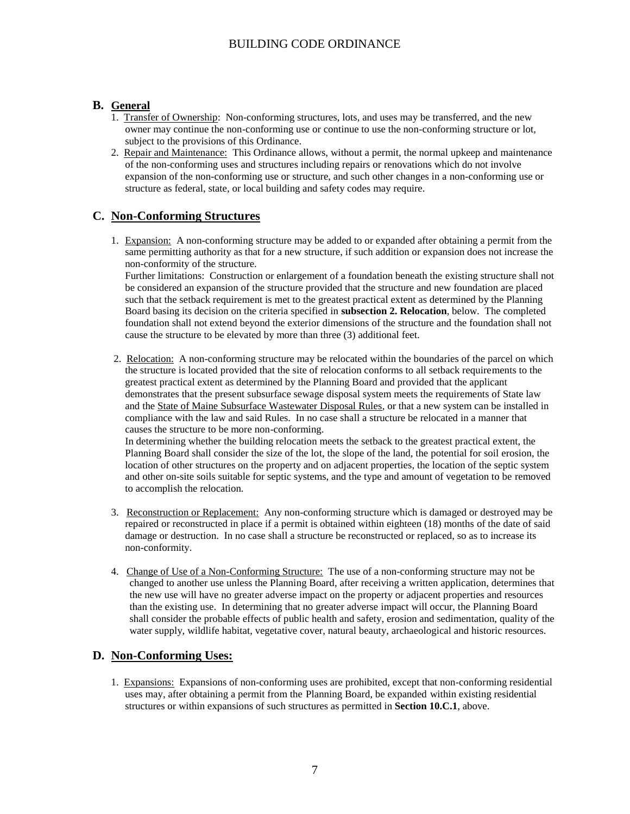### **B. General**

- 1. Transfer of Ownership: Non-conforming structures, lots, and uses may be transferred, and the new owner may continue the non-conforming use or continue to use the non-conforming structure or lot, subject to the provisions of this Ordinance.
- 2. Repair and Maintenance: This Ordinance allows, without a permit, the normal upkeep and maintenance of the non-conforming uses and structures including repairs or renovations which do not involve expansion of the non-conforming use or structure, and such other changes in a non-conforming use or structure as federal, state, or local building and safety codes may require.

## **C. Non-Conforming Structures**

1. Expansion: A non-conforming structure may be added to or expanded after obtaining a permit from the same permitting authority as that for a new structure, if such addition or expansion does not increase the non-conformity of the structure.

Further limitations: Construction or enlargement of a foundation beneath the existing structure shall not be considered an expansion of the structure provided that the structure and new foundation are placed such that the setback requirement is met to the greatest practical extent as determined by the Planning Board basing its decision on the criteria specified in **subsection 2. Relocation**, below. The completed foundation shall not extend beyond the exterior dimensions of the structure and the foundation shall not cause the structure to be elevated by more than three (3) additional feet.

2. Relocation: A non-conforming structure may be relocated within the boundaries of the parcel on which the structure is located provided that the site of relocation conforms to all setback requirements to the greatest practical extent as determined by the Planning Board and provided that the applicant demonstrates that the present subsurface sewage disposal system meets the requirements of State law and the State of Maine Subsurface Wastewater Disposal Rules, or that a new system can be installed in compliance with the law and said Rules. In no case shall a structure be relocated in a manner that causes the structure to be more non-conforming.

In determining whether the building relocation meets the setback to the greatest practical extent, the Planning Board shall consider the size of the lot, the slope of the land, the potential for soil erosion, the location of other structures on the property and on adjacent properties, the location of the septic system and other on-site soils suitable for septic systems, and the type and amount of vegetation to be removed to accomplish the relocation.

- 3. Reconstruction or Replacement: Any non-conforming structure which is damaged or destroyed may be repaired or reconstructed in place if a permit is obtained within eighteen (18) months of the date of said damage or destruction. In no case shall a structure be reconstructed or replaced, so as to increase its non-conformity.
- 4. Change of Use of a Non-Conforming Structure: The use of a non-conforming structure may not be changed to another use unless the Planning Board, after receiving a written application, determines that the new use will have no greater adverse impact on the property or adjacent properties and resources than the existing use. In determining that no greater adverse impact will occur, the Planning Board shall consider the probable effects of public health and safety, erosion and sedimentation, quality of the water supply, wildlife habitat, vegetative cover, natural beauty, archaeological and historic resources.

# **D. Non-Conforming Uses:**

1. Expansions: Expansions of non-conforming uses are prohibited, except that non-conforming residential uses may, after obtaining a permit from the Planning Board, be expanded within existing residential structures or within expansions of such structures as permitted in **Section 10.C.1**, above.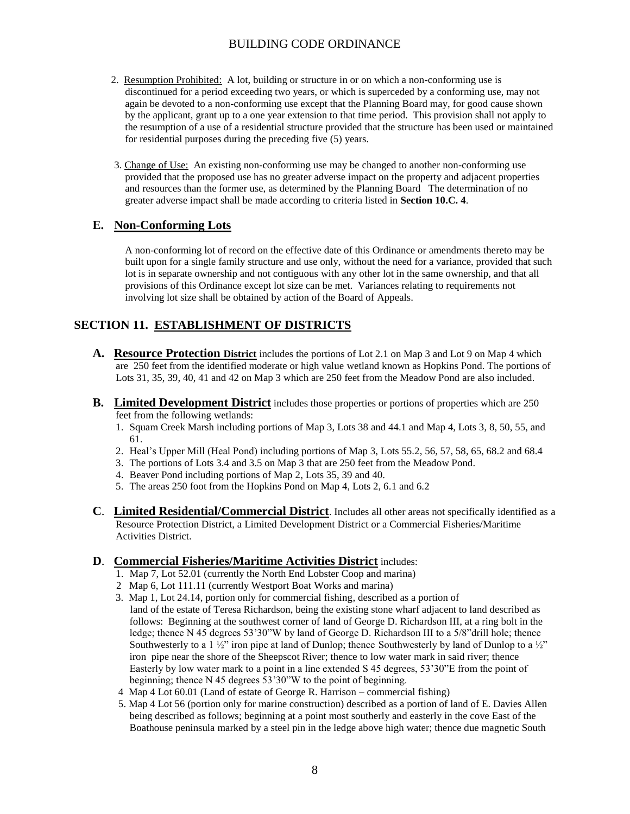- 2. Resumption Prohibited: A lot, building or structure in or on which a non-conforming use is discontinued for a period exceeding two years, or which is superceded by a conforming use, may not again be devoted to a non-conforming use except that the Planning Board may, for good cause shown by the applicant, grant up to a one year extension to that time period. This provision shall not apply to the resumption of a use of a residential structure provided that the structure has been used or maintained for residential purposes during the preceding five (5) years.
- 3. Change of Use: An existing non-conforming use may be changed to another non-conforming use provided that the proposed use has no greater adverse impact on the property and adjacent properties and resources than the former use, as determined by the Planning Board The determination of no greater adverse impact shall be made according to criteria listed in **Section 10.C. 4**.

## **E. Non-Conforming Lots**

A non-conforming lot of record on the effective date of this Ordinance or amendments thereto may be built upon for a single family structure and use only, without the need for a variance, provided that such lot is in separate ownership and not contiguous with any other lot in the same ownership, and that all provisions of this Ordinance except lot size can be met. Variances relating to requirements not involving lot size shall be obtained by action of the Board of Appeals.

# **SECTION 11. ESTABLISHMENT OF DISTRICTS**

- **A. Resource Protection District** includes the portions of Lot 2.1 on Map 3 and Lot 9 on Map 4 which are 250 feet from the identified moderate or high value wetland known as Hopkins Pond. The portions of Lots 31, 35, 39, 40, 41 and 42 on Map 3 which are 250 feet from the Meadow Pond are also included.
- **B. Limited Development District** includes those properties or portions of properties which are 250 feet from the following wetlands:
	- 1. Squam Creek Marsh including portions of Map 3, Lots 38 and 44.1 and Map 4, Lots 3, 8, 50, 55, and 61.
	- 2. Heal's Upper Mill (Heal Pond) including portions of Map 3, Lots 55.2, 56, 57, 58, 65, 68.2 and 68.4
	- 3. The portions of Lots 3.4 and 3.5 on Map 3 that are 250 feet from the Meadow Pond.
	- 4. Beaver Pond including portions of Map 2, Lots 35, 39 and 40.
	- 5. The areas 250 foot from the Hopkins Pond on Map 4, Lots 2, 6.1 and 6.2
- **C**. **Limited Residential/Commercial District**. Includes all other areas not specifically identified as a Resource Protection District, a Limited Development District or a Commercial Fisheries/Maritime Activities District.

### **D**. **Commercial Fisheries/Maritime Activities District** includes:

- 1. Map 7, Lot 52.01 (currently the North End Lobster Coop and marina)
- 2 Map 6, Lot 111.11 (currently Westport Boat Works and marina)
- 3. Map 1, Lot 24.14, portion only for commercial fishing, described as a portion of land of the estate of Teresa Richardson, being the existing stone wharf adjacent to land described as follows: Beginning at the southwest corner of land of George D. Richardson III, at a ring bolt in the ledge; thence N 45 degrees 53'30"W by land of George D. Richardson III to a 5/8"drill hole; thence Southwesterly to a 1  $\frac{1}{2}$ " iron pipe at land of Dunlop; thence Southwesterly by land of Dunlop to a  $\frac{1}{2}$ " iron pipe near the shore of the Sheepscot River; thence to low water mark in said river; thence Easterly by low water mark to a point in a line extended S 45 degrees, 53'30"E from the point of beginning; thence N 45 degrees 53'30"W to the point of beginning.
- 4 Map 4 Lot 60.01 (Land of estate of George R. Harrison commercial fishing)
- 5. Map 4 Lot 56 (portion only for marine construction) described as a portion of land of E. Davies Allen being described as follows; beginning at a point most southerly and easterly in the cove East of the Boathouse peninsula marked by a steel pin in the ledge above high water; thence due magnetic South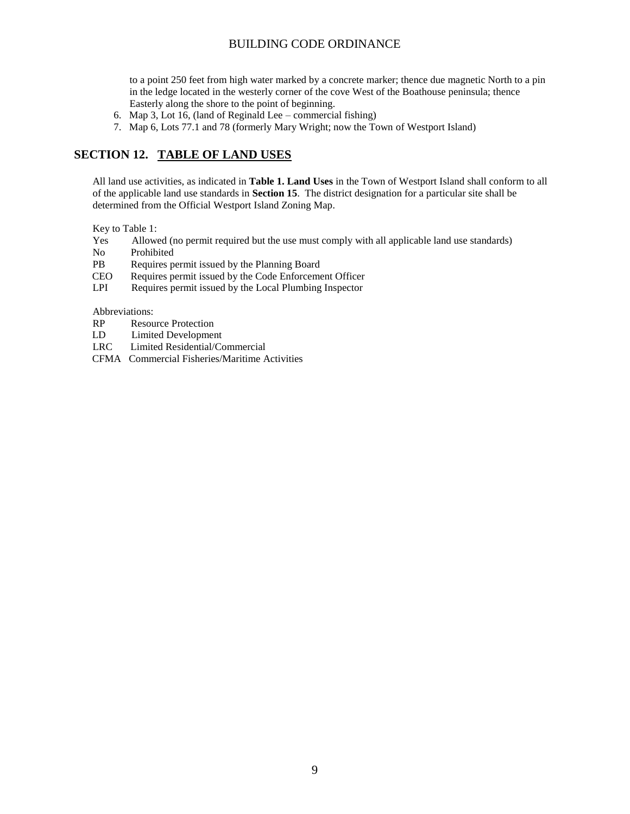to a point 250 feet from high water marked by a concrete marker; thence due magnetic North to a pin in the ledge located in the westerly corner of the cove West of the Boathouse peninsula; thence Easterly along the shore to the point of beginning.

- 6. Map 3, Lot 16, (land of Reginald Lee commercial fishing)
- 7. Map 6, Lots 77.1 and 78 (formerly Mary Wright; now the Town of Westport Island)

# **SECTION 12. TABLE OF LAND USES**

All land use activities, as indicated in **Table 1. Land Uses** in the Town of Westport Island shall conform to all of the applicable land use standards in **Section 15**. The district designation for a particular site shall be determined from the Official Westport Island Zoning Map.

Key to Table 1:

- Yes Allowed (no permit required but the use must comply with all applicable land use standards)
- No Prohibited
- PB Requires permit issued by the Planning Board
- CEO Requires permit issued by the Code Enforcement Officer
- LPI Requires permit issued by the Local Plumbing Inspector

Abbreviations:

- RP Resource Protection
- LD Limited Development
- LRC Limited Residential/Commercial
- CFMA Commercial Fisheries/Maritime Activities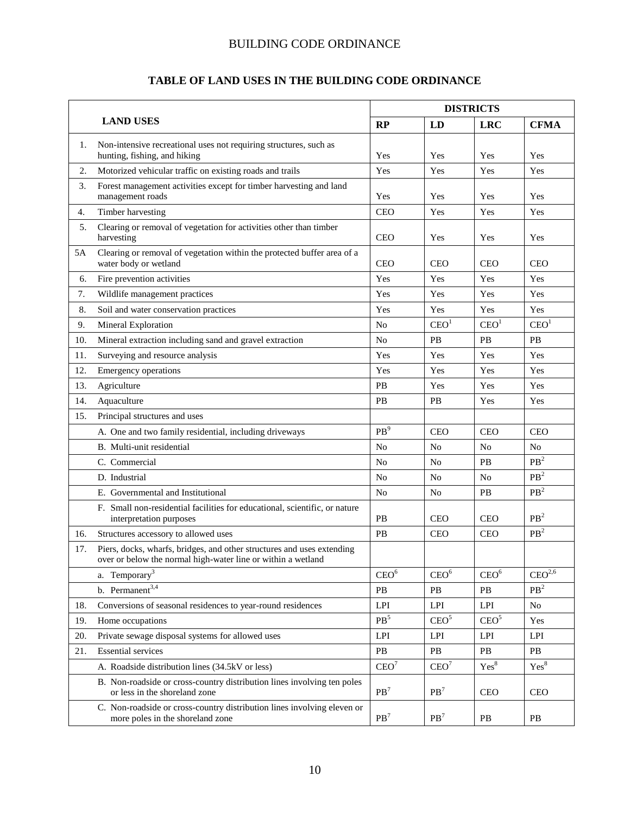# **TABLE OF LAND USES IN THE BUILDING CODE ORDINANCE**

|     |                                                                                                                                        |                  | <b>DISTRICTS</b> |                  |                    |  |
|-----|----------------------------------------------------------------------------------------------------------------------------------------|------------------|------------------|------------------|--------------------|--|
|     | <b>LAND USES</b>                                                                                                                       | RP               | LD               | <b>LRC</b>       | <b>CFMA</b>        |  |
| 1.  | Non-intensive recreational uses not requiring structures, such as<br>hunting, fishing, and hiking                                      | Yes              | Yes              | Yes              | Yes                |  |
| 2.  | Motorized vehicular traffic on existing roads and trails                                                                               | Yes              | Yes              | Yes              | Yes                |  |
| 3.  | Forest management activities except for timber harvesting and land<br>management roads                                                 | Yes              | Yes              | Yes              | Yes                |  |
| 4.  | Timber harvesting                                                                                                                      | <b>CEO</b>       | Yes              | Yes              | Yes                |  |
| 5.  | Clearing or removal of vegetation for activities other than timber<br>harvesting                                                       | <b>CEO</b>       | Yes              | Yes              | Yes                |  |
| 5A  | Clearing or removal of vegetation within the protected buffer area of a<br>water body or wetland                                       | <b>CEO</b>       | <b>CEO</b>       | <b>CEO</b>       | <b>CEO</b>         |  |
| 6.  | Fire prevention activities                                                                                                             | Yes              | Yes              | Yes              | Yes                |  |
| 7.  | Wildlife management practices                                                                                                          | Yes              | Yes              | Yes              | Yes                |  |
| 8.  | Soil and water conservation practices                                                                                                  | Yes              | Yes              | Yes              | Yes                |  |
| 9.  | Mineral Exploration                                                                                                                    | No               | CEO <sup>1</sup> | CEO <sup>1</sup> | CEO <sup>1</sup>   |  |
| 10. | Mineral extraction including sand and gravel extraction                                                                                | No               | <b>PB</b>        | PB               | <b>PB</b>          |  |
| 11. | Surveying and resource analysis                                                                                                        | Yes              | Yes              | Yes              | Yes                |  |
| 12. | <b>Emergency operations</b>                                                                                                            | Yes              | Yes              | Yes              | Yes                |  |
| 13. | Agriculture                                                                                                                            | PB               | Yes              | Yes              | Yes                |  |
| 14. | Aquaculture                                                                                                                            | PB               | PB               | Yes              | Yes                |  |
| 15. | Principal structures and uses                                                                                                          |                  |                  |                  |                    |  |
|     | A. One and two family residential, including driveways                                                                                 | PB <sup>9</sup>  | <b>CEO</b>       | <b>CEO</b>       | <b>CEO</b>         |  |
|     | B. Multi-unit residential                                                                                                              | N <sub>o</sub>   | No               | N <sub>0</sub>   | N <sub>o</sub>     |  |
|     | C. Commercial                                                                                                                          | No               | N <sub>0</sub>   | <b>PB</b>        | PB <sup>2</sup>    |  |
|     | D. Industrial                                                                                                                          | No               | N <sub>0</sub>   | N <sub>0</sub>   | PB <sup>2</sup>    |  |
|     | E. Governmental and Institutional                                                                                                      | No               | No               | PB               | PB <sup>2</sup>    |  |
|     | F. Small non-residential facilities for educational, scientific, or nature<br>interpretation purposes                                  | PB               | <b>CEO</b>       | <b>CEO</b>       | PB <sup>2</sup>    |  |
| 16. | Structures accessory to allowed uses                                                                                                   | PB               | <b>CEO</b>       | <b>CEO</b>       | PB <sup>2</sup>    |  |
| 17. | Piers, docks, wharfs, bridges, and other structures and uses extending<br>over or below the normal high-water line or within a wetland |                  |                  |                  |                    |  |
|     | a. Temporary <sup>3</sup>                                                                                                              | CEO <sup>6</sup> | CEO <sup>6</sup> | CEO <sup>6</sup> | CEO <sup>2,6</sup> |  |
|     | b. Permanent <sup>3,4</sup>                                                                                                            | PB               | PB               | PB               | PB <sup>2</sup>    |  |
| 18. | Conversions of seasonal residences to year-round residences                                                                            | LPI              | LPI              | LPI              | No                 |  |
| 19. | Home occupations                                                                                                                       | $\text{PB}^5$    | CEO <sup>5</sup> | CEO <sup>5</sup> | Yes                |  |
| 20. | Private sewage disposal systems for allowed uses                                                                                       | LPI              | LPI              | LPI              | LPI                |  |
| 21. | <b>Essential services</b>                                                                                                              | PB               | PB               | PB               | PB                 |  |
|     | A. Roadside distribution lines (34.5kV or less)                                                                                        | CEO <sup>7</sup> | CEO <sup>7</sup> | Yes <sup>8</sup> | Yes <sup>8</sup>   |  |
|     | B. Non-roadside or cross-country distribution lines involving ten poles<br>or less in the shoreland zone                               | PB <sup>7</sup>  | PB <sup>7</sup>  | CEO              | <b>CEO</b>         |  |
|     | C. Non-roadside or cross-country distribution lines involving eleven or<br>more poles in the shoreland zone                            | PB <sup>7</sup>  | PB <sup>7</sup>  | $\rm{PB}$        | PB                 |  |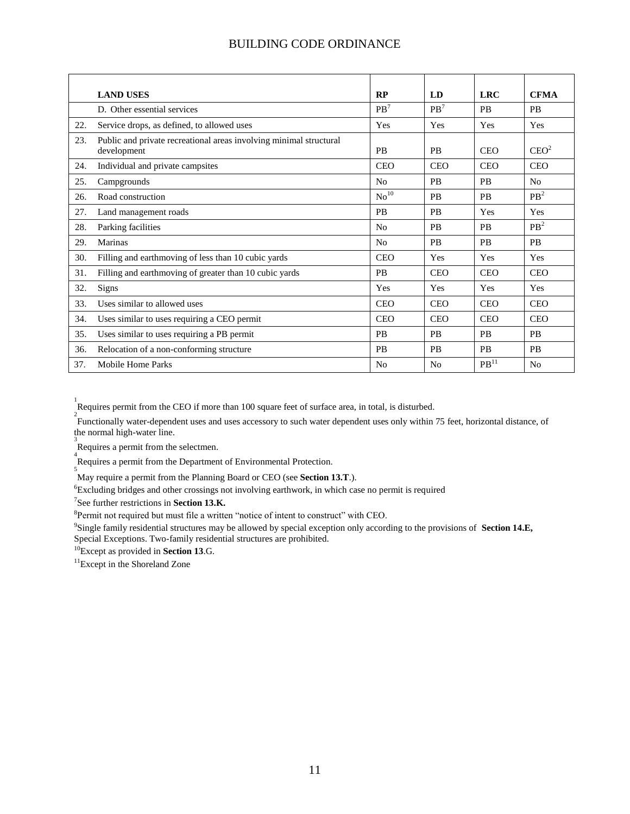|     | <b>LAND USES</b>                                                                  | RP               | LD             | <b>LRC</b>         | <b>CFMA</b>      |
|-----|-----------------------------------------------------------------------------------|------------------|----------------|--------------------|------------------|
|     | D. Other essential services                                                       | PB <sup>7</sup>  | $PB^7$         | <b>PB</b>          | <b>PB</b>        |
| 22. | Service drops, as defined, to allowed uses                                        | Yes              | Yes            | Yes                | Yes              |
| 23. | Public and private recreational areas involving minimal structural<br>development | <b>PB</b>        | <b>PB</b>      | <b>CEO</b>         | CEO <sup>2</sup> |
| 24. | Individual and private campsites                                                  | <b>CEO</b>       | <b>CEO</b>     | <b>CEO</b>         | <b>CEO</b>       |
| 25. | Campgrounds                                                                       | N <sub>0</sub>   | <b>PB</b>      | <b>PB</b>          | N <sub>0</sub>   |
| 26. | Road construction                                                                 | No <sup>10</sup> | <b>PB</b>      | <b>PB</b>          | PB <sup>2</sup>  |
| 27. | Land management roads                                                             | <b>PB</b>        | <b>PB</b>      | Yes                | Yes              |
| 28. | Parking facilities                                                                | N <sub>0</sub>   | <b>PB</b>      | <b>PB</b>          | PB <sup>2</sup>  |
| 29. | <b>Marinas</b>                                                                    | N <sub>0</sub>   | <b>PB</b>      | <b>PB</b>          | <b>PB</b>        |
| 30. | Filling and earthmoving of less than 10 cubic yards                               | <b>CEO</b>       | Yes            | Yes                | Yes              |
| 31. | Filling and earthmoving of greater than 10 cubic yards                            | <b>PB</b>        | <b>CEO</b>     | <b>CEO</b>         | <b>CEO</b>       |
| 32. | Signs                                                                             | Yes              | Yes            | Yes                | Yes              |
| 33. | Uses similar to allowed uses                                                      | <b>CEO</b>       | <b>CEO</b>     | <b>CEO</b>         | <b>CEO</b>       |
| 34. | Uses similar to uses requiring a CEO permit                                       | <b>CEO</b>       | <b>CEO</b>     | <b>CEO</b>         | <b>CEO</b>       |
| 35. | Uses similar to uses requiring a PB permit                                        | <b>PB</b>        | <b>PB</b>      | <b>PB</b>          | <b>PB</b>        |
| 36. | Relocation of a non-conforming structure                                          | <b>PB</b>        | <b>PB</b>      | <b>PB</b>          | <b>PB</b>        |
| 37. | Mobile Home Parks                                                                 | No               | N <sub>0</sub> | $PB$ <sup>11</sup> | N <sub>0</sub>   |

Requires permit from the CEO if more than 100 square feet of surface area, in total, is disturbed.

Functionally water-dependent uses and uses accessory to such water dependent uses only within 75 feet, horizontal distance, of the normal high-water line.

<sup>3</sup><br>Requires a permit from the selectmen.

4 Requires a permit from the Department of Environmental Protection.

5 May require a permit from the Planning Board or CEO (see **Section 13.T**.).

<sup>6</sup>Excluding bridges and other crossings not involving earthwork, in which case no permit is required

7 See further restrictions in **Section 13.K.**

<sup>8</sup>Permit not required but must file a written "notice of intent to construct" with CEO.

9 Single family residential structures may be allowed by special exception only according to the provisions of **Section 14.E,** Special Exceptions. Two-family residential structures are prohibited.

<sup>10</sup>Except as provided in **Section 13**.G.

<sup>11</sup>Except in the Shoreland Zone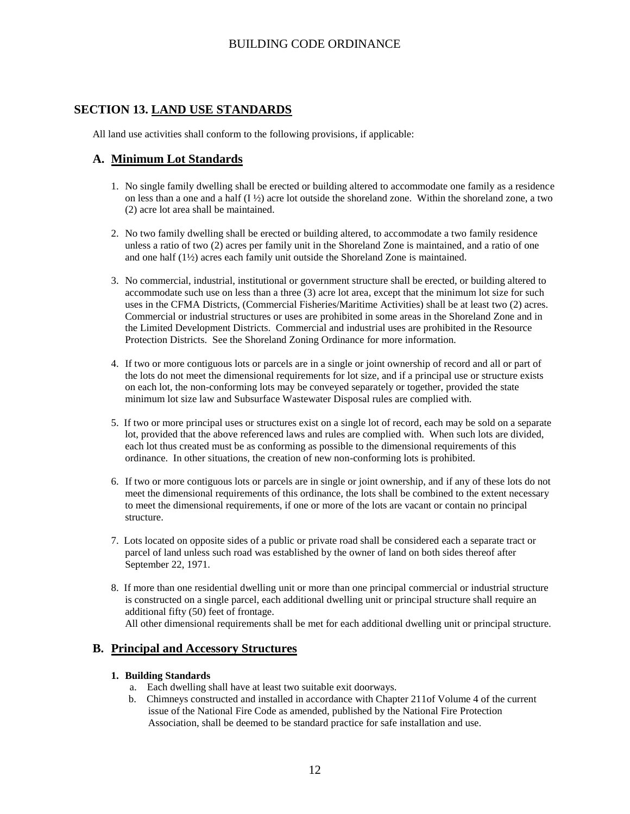# **SECTION 13. LAND USE STANDARDS**

All land use activities shall conform to the following provisions, if applicable:

### **A. Minimum Lot Standards**

- 1. No single family dwelling shall be erected or building altered to accommodate one family as a residence on less than a one and a half (I ½) acre lot outside the shoreland zone. Within the shoreland zone, a two (2) acre lot area shall be maintained.
- 2. No two family dwelling shall be erected or building altered, to accommodate a two family residence unless a ratio of two (2) acres per family unit in the Shoreland Zone is maintained, and a ratio of one and one half (1½) acres each family unit outside the Shoreland Zone is maintained.
- 3. No commercial, industrial, institutional or government structure shall be erected, or building altered to accommodate such use on less than a three (3) acre lot area, except that the minimum lot size for such uses in the CFMA Districts, (Commercial Fisheries/Maritime Activities) shall be at least two (2) acres. Commercial or industrial structures or uses are prohibited in some areas in the Shoreland Zone and in the Limited Development Districts. Commercial and industrial uses are prohibited in the Resource Protection Districts. See the Shoreland Zoning Ordinance for more information.
- 4. If two or more contiguous lots or parcels are in a single or joint ownership of record and all or part of the lots do not meet the dimensional requirements for lot size, and if a principal use or structure exists on each lot, the non-conforming lots may be conveyed separately or together, provided the state minimum lot size law and Subsurface Wastewater Disposal rules are complied with.
- 5. If two or more principal uses or structures exist on a single lot of record, each may be sold on a separate lot, provided that the above referenced laws and rules are complied with. When such lots are divided, each lot thus created must be as conforming as possible to the dimensional requirements of this ordinance. In other situations, the creation of new non-conforming lots is prohibited.
- 6. If two or more contiguous lots or parcels are in single or joint ownership, and if any of these lots do not meet the dimensional requirements of this ordinance, the lots shall be combined to the extent necessary to meet the dimensional requirements, if one or more of the lots are vacant or contain no principal structure.
- 7. Lots located on opposite sides of a public or private road shall be considered each a separate tract or parcel of land unless such road was established by the owner of land on both sides thereof after September 22, 1971.
- 8. If more than one residential dwelling unit or more than one principal commercial or industrial structure is constructed on a single parcel, each additional dwelling unit or principal structure shall require an additional fifty (50) feet of frontage. All other dimensional requirements shall be met for each additional dwelling unit or principal structure.

### **B. Principal and Accessory Structures**

#### **1. Building Standards**

- a. Each dwelling shall have at least two suitable exit doorways.
- b. Chimneys constructed and installed in accordance with Chapter 211of Volume 4 of the current issue of the National Fire Code as amended, published by the National Fire Protection Association, shall be deemed to be standard practice for safe installation and use.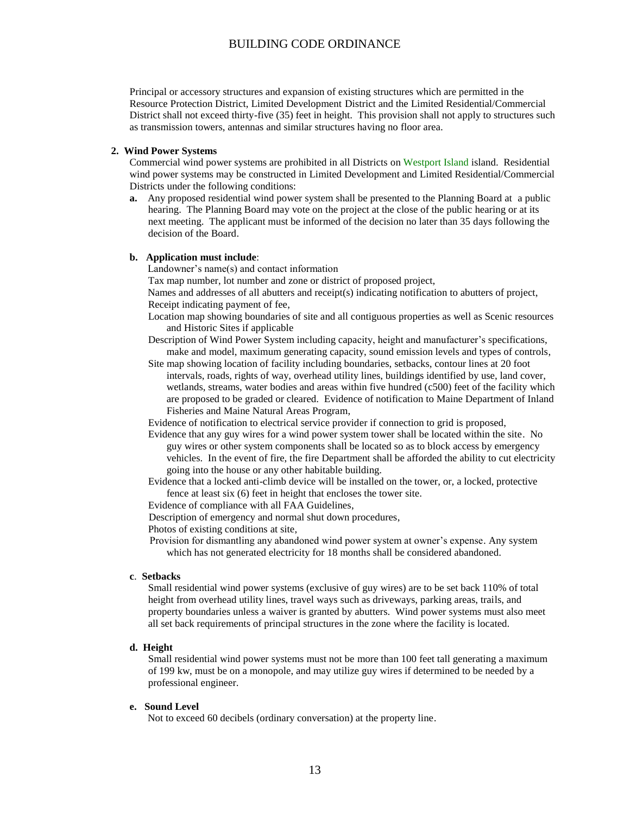Principal or accessory structures and expansion of existing structures which are permitted in the Resource Protection District, Limited Development District and the Limited Residential/Commercial District shall not exceed thirty-five (35) feet in height. This provision shall not apply to structures such as transmission towers, antennas and similar structures having no floor area.

#### **2. Wind Power Systems**

Commercial wind power systems are prohibited in all Districts on Westport Island island. Residential wind power systems may be constructed in Limited Development and Limited Residential/Commercial Districts under the following conditions:

**a.** Any proposed residential wind power system shall be presented to the Planning Board at a public hearing. The Planning Board may vote on the project at the close of the public hearing or at its next meeting. The applicant must be informed of the decision no later than 35 days following the decision of the Board.

#### **b. Application must include**:

Landowner's name(s) and contact information

Tax map number, lot number and zone or district of proposed project,

 Names and addresses of all abutters and receipt(s) indicating notification to abutters of project, Receipt indicating payment of fee,

- Location map showing boundaries of site and all contiguous properties as well as Scenic resources and Historic Sites if applicable
- Description of Wind Power System including capacity, height and manufacturer's specifications, make and model, maximum generating capacity, sound emission levels and types of controls,
- Site map showing location of facility including boundaries, setbacks, contour lines at 20 foot intervals, roads, rights of way, overhead utility lines, buildings identified by use, land cover, wetlands, streams, water bodies and areas within five hundred (c500) feet of the facility which are proposed to be graded or cleared. Evidence of notification to Maine Department of Inland Fisheries and Maine Natural Areas Program,

Evidence of notification to electrical service provider if connection to grid is proposed,

Evidence that any guy wires for a wind power system tower shall be located within the site. No guy wires or other system components shall be located so as to block access by emergency vehicles. In the event of fire, the fire Department shall be afforded the ability to cut electricity going into the house or any other habitable building.

Evidence that a locked anti-climb device will be installed on the tower, or, a locked, protective fence at least six (6) feet in height that encloses the tower site.

Evidence of compliance with all FAA Guidelines,

Description of emergency and normal shut down procedures,

Photos of existing conditions at site,

 Provision for dismantling any abandoned wind power system at owner's expense. Any system which has not generated electricity for 18 months shall be considered abandoned.

#### **c**. **Setbacks**

 Small residential wind power systems (exclusive of guy wires) are to be set back 110% of total height from overhead utility lines, travel ways such as driveways, parking areas, trails, and property boundaries unless a waiver is granted by abutters. Wind power systems must also meet all set back requirements of principal structures in the zone where the facility is located.

#### **d. Height**

Small residential wind power systems must not be more than 100 feet tall generating a maximum of 199 kw, must be on a monopole, and may utilize guy wires if determined to be needed by a professional engineer.

#### **e. Sound Level**

Not to exceed 60 decibels (ordinary conversation) at the property line.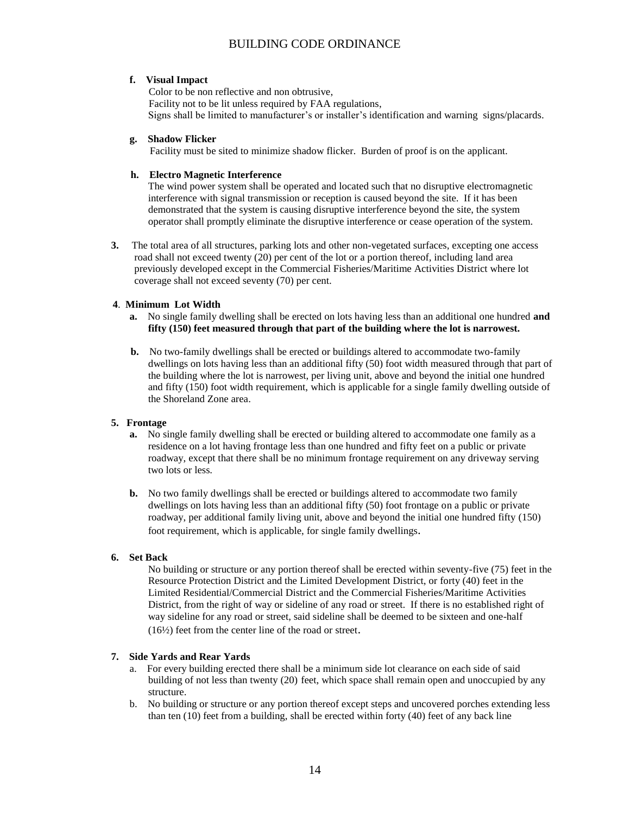#### **f. Visual Impact**

 Color to be non reflective and non obtrusive, Facility not to be lit unless required by FAA regulations, Signs shall be limited to manufacturer's or installer's identification and warning signs/placards.

#### **g. Shadow Flicker**

Facility must be sited to minimize shadow flicker. Burden of proof is on the applicant.

#### **h. Electro Magnetic Interference**

The wind power system shall be operated and located such that no disruptive electromagnetic interference with signal transmission or reception is caused beyond the site. If it has been demonstrated that the system is causing disruptive interference beyond the site, the system operator shall promptly eliminate the disruptive interference or cease operation of the system.

**3.** The total area of all structures, parking lots and other non-vegetated surfaces, excepting one access road shall not exceed twenty (20) per cent of the lot or a portion thereof, including land area previously developed except in the Commercial Fisheries/Maritime Activities District where lot coverage shall not exceed seventy (70) per cent.

#### **4**. **Minimum Lot Width**

- **a.** No single family dwelling shall be erected on lots having less than an additional one hundred **and fifty (150) feet measured through that part of the building where the lot is narrowest.**
- **b.** No two-family dwellings shall be erected or buildings altered to accommodate two-family dwellings on lots having less than an additional fifty (50) foot width measured through that part of the building where the lot is narrowest, per living unit, above and beyond the initial one hundred and fifty (150) foot width requirement, which is applicable for a single family dwelling outside of the Shoreland Zone area.

#### **5. Frontage**

- **a.** No single family dwelling shall be erected or building altered to accommodate one family as a residence on a lot having frontage less than one hundred and fifty feet on a public or private roadway, except that there shall be no minimum frontage requirement on any driveway serving two lots or less.
- **b.** No two family dwellings shall be erected or buildings altered to accommodate two family dwellings on lots having less than an additional fifty (50) foot frontage on a public or private roadway, per additional family living unit, above and beyond the initial one hundred fifty (150) foot requirement, which is applicable, for single family dwellings.

#### **6. Set Back**

No building or structure or any portion thereof shall be erected within seventy-five (75) feet in the Resource Protection District and the Limited Development District, or forty (40) feet in the Limited Residential/Commercial District and the Commercial Fisheries/Maritime Activities District, from the right of way or sideline of any road or street. If there is no established right of way sideline for any road or street, said sideline shall be deemed to be sixteen and one-half (16½) feet from the center line of the road or street.

#### **7. Side Yards and Rear Yards**

- a. For every building erected there shall be a minimum side lot clearance on each side of said building of not less than twenty (20) feet, which space shall remain open and unoccupied by any structure.
- b. No building or structure or any portion thereof except steps and uncovered porches extending less than ten (10) feet from a building, shall be erected within forty (40) feet of any back line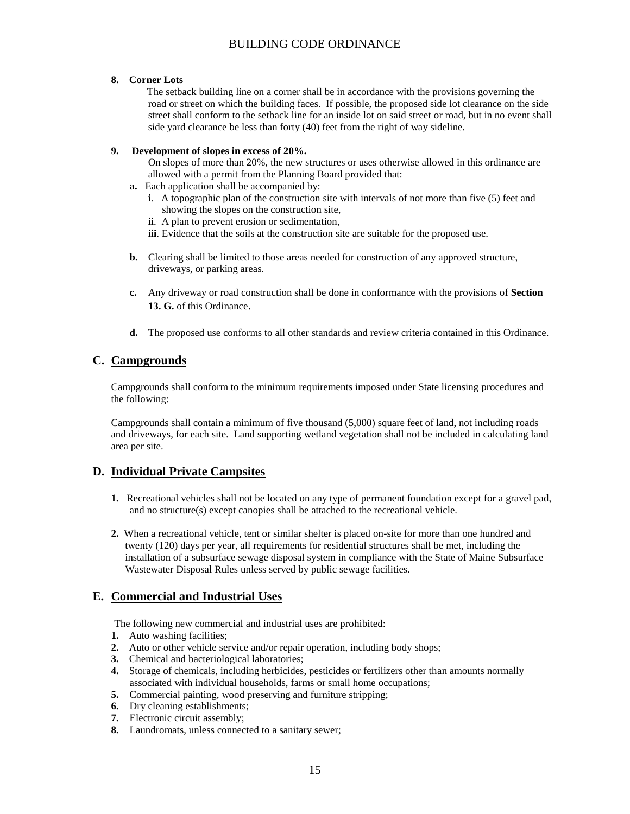#### **8. Corner Lots**

 The setback building line on a corner shall be in accordance with the provisions governing the road or street on which the building faces. If possible, the proposed side lot clearance on the side street shall conform to the setback line for an inside lot on said street or road, but in no event shall side yard clearance be less than forty (40) feet from the right of way sideline.

#### **9. Development of slopes in excess of 20%.**

On slopes of more than 20%, the new structures or uses otherwise allowed in this ordinance are allowed with a permit from the Planning Board provided that:

- **a.** Each application shall be accompanied by:
	- **i**. A topographic plan of the construction site with intervals of not more than five (5) feet and showing the slopes on the construction site,
	- **ii**. A plan to prevent erosion or sedimentation,
	- **iii**. Evidence that the soils at the construction site are suitable for the proposed use.
- **b.** Clearing shall be limited to those areas needed for construction of any approved structure, driveways, or parking areas.
- **c.** Any driveway or road construction shall be done in conformance with the provisions of **Section 13. G.** of this Ordinance.
- **d.** The proposed use conforms to all other standards and review criteria contained in this Ordinance.

### **C. Campgrounds**

Campgrounds shall conform to the minimum requirements imposed under State licensing procedures and the following:

Campgrounds shall contain a minimum of five thousand (5,000) square feet of land, not including roads and driveways, for each site. Land supporting wetland vegetation shall not be included in calculating land area per site.

### **D. Individual Private Campsites**

- **1.** Recreational vehicles shall not be located on any type of permanent foundation except for a gravel pad, and no structure(s) except canopies shall be attached to the recreational vehicle.
- **2.** When a recreational vehicle, tent or similar shelter is placed on-site for more than one hundred and twenty (120) days per year, all requirements for residential structures shall be met, including the installation of a subsurface sewage disposal system in compliance with the State of Maine Subsurface Wastewater Disposal Rules unless served by public sewage facilities.

## **E. Commercial and Industrial Uses**

The following new commercial and industrial uses are prohibited:

- **1.** Auto washing facilities;
- **2.** Auto or other vehicle service and/or repair operation, including body shops;
- **3.** Chemical and bacteriological laboratories;
- **4.** Storage of chemicals, including herbicides, pesticides or fertilizers other than amounts normally associated with individual households, farms or small home occupations;
- **5.** Commercial painting, wood preserving and furniture stripping;
- **6.** Dry cleaning establishments;
- **7.** Electronic circuit assembly;
- **8.** Laundromats, unless connected to a sanitary sewer;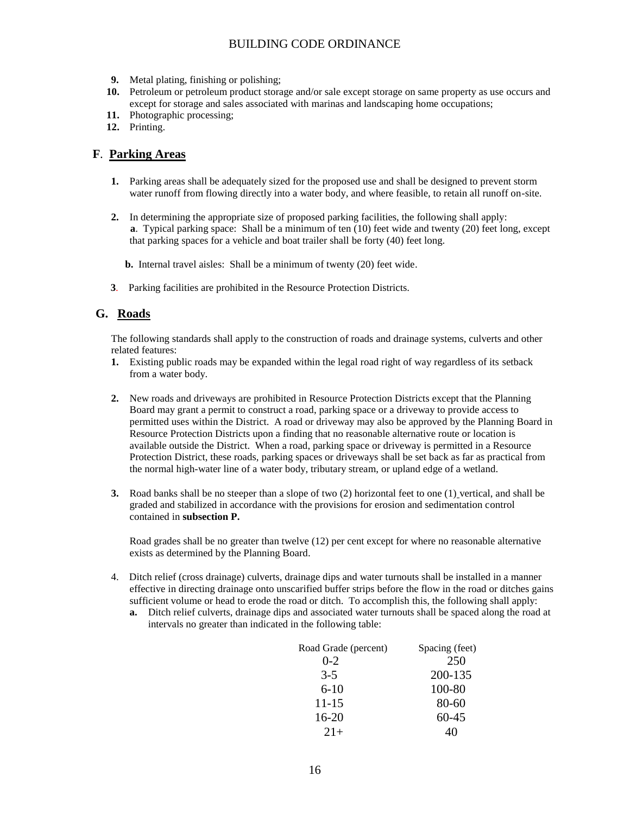- **9.** Metal plating, finishing or polishing;
- **10.** Petroleum or petroleum product storage and/or sale except storage on same property as use occurs and except for storage and sales associated with marinas and landscaping home occupations;
- **11.** Photographic processing;
- **12.** Printing.

#### **F**. **Parking Areas**

- **1.** Parking areas shall be adequately sized for the proposed use and shall be designed to prevent storm water runoff from flowing directly into a water body, and where feasible, to retain all runoff on-site.
- **2.** In determining the appropriate size of proposed parking facilities, the following shall apply: **a**. Typical parking space: Shall be a minimum of ten (10) feet wide and twenty (20) feet long, except that parking spaces for a vehicle and boat trailer shall be forty (40) feet long.
	- **b.** Internal travel aisles: Shall be a minimum of twenty (20) feet wide.
- **3**. Parking facilities are prohibited in the Resource Protection Districts.

### **G. Roads**

The following standards shall apply to the construction of roads and drainage systems, culverts and other related features:

- **1.** Existing public roads may be expanded within the legal road right of way regardless of its setback from a water body.
- **2.** New roads and driveways are prohibited in Resource Protection Districts except that the Planning Board may grant a permit to construct a road, parking space or a driveway to provide access to permitted uses within the District. A road or driveway may also be approved by the Planning Board in Resource Protection Districts upon a finding that no reasonable alternative route or location is available outside the District. When a road, parking space or driveway is permitted in a Resource Protection District, these roads, parking spaces or driveways shall be set back as far as practical from the normal high-water line of a water body, tributary stream, or upland edge of a wetland.
- **3.** Road banks shall be no steeper than a slope of two (2) horizontal feet to one (1) vertical, and shall be graded and stabilized in accordance with the provisions for erosion and sedimentation control contained in **subsection P.**

Road grades shall be no greater than twelve (12) per cent except for where no reasonable alternative exists as determined by the Planning Board.

- 4. Ditch relief (cross drainage) culverts, drainage dips and water turnouts shall be installed in a manner effective in directing drainage onto unscarified buffer strips before the flow in the road or ditches gains sufficient volume or head to erode the road or ditch. To accomplish this, the following shall apply:
	- **a.** Ditch relief culverts, drainage dips and associated water turnouts shall be spaced along the road at intervals no greater than indicated in the following table:

| Road Grade (percent) | Spacing (feet) |
|----------------------|----------------|
| $0 - 2$              | 250            |
| $3 - 5$              | 200-135        |
| $6 - 10$             | 100-80         |
| $11 - 15$            | 80-60          |
| 16-20                | 60-45          |
| $2.1+$               | 40             |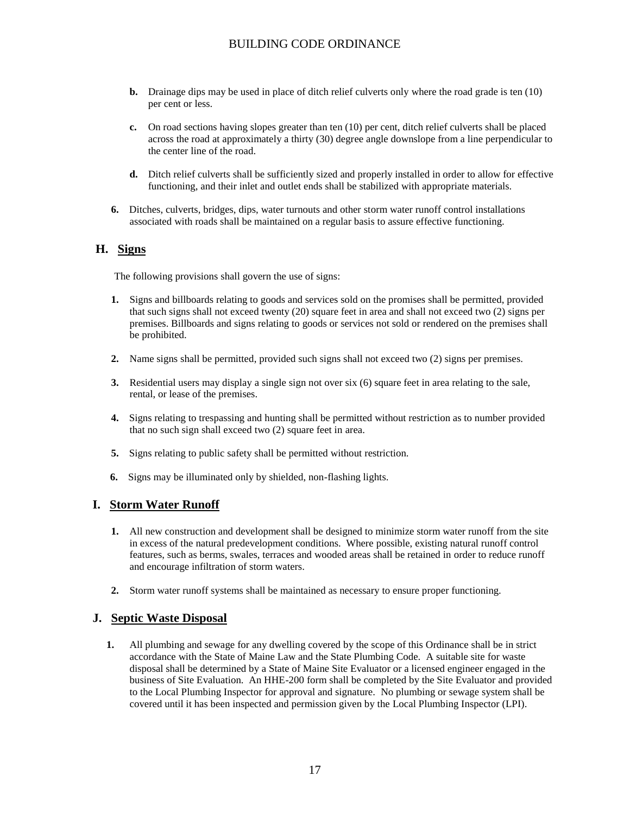- **b.** Drainage dips may be used in place of ditch relief culverts only where the road grade is ten (10) per cent or less.
- **c.** On road sections having slopes greater than ten (10) per cent, ditch relief culverts shall be placed across the road at approximately a thirty (30) degree angle downslope from a line perpendicular to the center line of the road.
- **d.** Ditch relief culverts shall be sufficiently sized and properly installed in order to allow for effective functioning, and their inlet and outlet ends shall be stabilized with appropriate materials.
- **6.** Ditches, culverts, bridges, dips, water turnouts and other storm water runoff control installations associated with roads shall be maintained on a regular basis to assure effective functioning.

### **H. Signs**

The following provisions shall govern the use of signs:

- **1.** Signs and billboards relating to goods and services sold on the promises shall be permitted, provided that such signs shall not exceed twenty (20) square feet in area and shall not exceed two (2) signs per premises. Billboards and signs relating to goods or services not sold or rendered on the premises shall be prohibited.
- **2.** Name signs shall be permitted, provided such signs shall not exceed two (2) signs per premises.
- **3.** Residential users may display a single sign not over six (6) square feet in area relating to the sale, rental, or lease of the premises.
- **4.** Signs relating to trespassing and hunting shall be permitted without restriction as to number provided that no such sign shall exceed two (2) square feet in area.
- **5.** Signs relating to public safety shall be permitted without restriction.
- **6.** Signs may be illuminated only by shielded, non-flashing lights.

### **I. Storm Water Runoff**

- **1.** All new construction and development shall be designed to minimize storm water runoff from the site in excess of the natural predevelopment conditions. Where possible, existing natural runoff control features, such as berms, swales, terraces and wooded areas shall be retained in order to reduce runoff and encourage infiltration of storm waters.
- **2.** Storm water runoff systems shall be maintained as necessary to ensure proper functioning.

### **J. Septic Waste Disposal**

**1.** All plumbing and sewage for any dwelling covered by the scope of this Ordinance shall be in strict accordance with the State of Maine Law and the State Plumbing Code. A suitable site for waste disposal shall be determined by a State of Maine Site Evaluator or a licensed engineer engaged in the business of Site Evaluation. An HHE-200 form shall be completed by the Site Evaluator and provided to the Local Plumbing Inspector for approval and signature. No plumbing or sewage system shall be covered until it has been inspected and permission given by the Local Plumbing Inspector (LPI).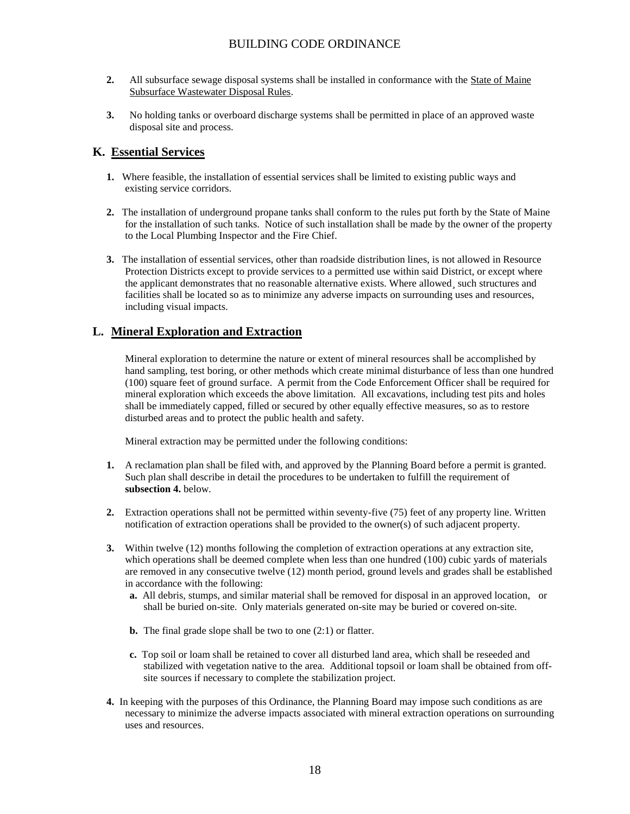- **2.** All subsurface sewage disposal systems shall be installed in conformance with the State of Maine Subsurface Wastewater Disposal Rules.
- **3.** No holding tanks or overboard discharge systems shall be permitted in place of an approved waste disposal site and process.

## **K. Essential Services**

- **1.** Where feasible, the installation of essential services shall be limited to existing public ways and existing service corridors.
- **2.** The installation of underground propane tanks shall conform to the rules put forth by the State of Maine for the installation of such tanks. Notice of such installation shall be made by the owner of the property to the Local Plumbing Inspector and the Fire Chief.
- **3.** The installation of essential services, other than roadside distribution lines, is not allowed in Resource Protection Districts except to provide services to a permitted use within said District, or except where the applicant demonstrates that no reasonable alternative exists. Where allowed¸ such structures and facilities shall be located so as to minimize any adverse impacts on surrounding uses and resources, including visual impacts.

## **L. Mineral Exploration and Extraction**

Mineral exploration to determine the nature or extent of mineral resources shall be accomplished by hand sampling, test boring, or other methods which create minimal disturbance of less than one hundred (100) square feet of ground surface. A permit from the Code Enforcement Officer shall be required for mineral exploration which exceeds the above limitation. All excavations, including test pits and holes shall be immediately capped, filled or secured by other equally effective measures, so as to restore disturbed areas and to protect the public health and safety.

Mineral extraction may be permitted under the following conditions:

- **1.** A reclamation plan shall be filed with, and approved by the Planning Board before a permit is granted. Such plan shall describe in detail the procedures to be undertaken to fulfill the requirement of **subsection 4.** below.
- **2.** Extraction operations shall not be permitted within seventy-five (75) feet of any property line. Written notification of extraction operations shall be provided to the owner(s) of such adjacent property.
- **3.** Within twelve (12) months following the completion of extraction operations at any extraction site, which operations shall be deemed complete when less than one hundred (100) cubic yards of materials are removed in any consecutive twelve (12) month period, ground levels and grades shall be established in accordance with the following:
	- **a.** All debris, stumps, and similar material shall be removed for disposal in an approved location, or shall be buried on-site. Only materials generated on-site may be buried or covered on-site.
	- **b.** The final grade slope shall be two to one (2:1) or flatter.
	- **c.** Top soil or loam shall be retained to cover all disturbed land area, which shall be reseeded and stabilized with vegetation native to the area. Additional topsoil or loam shall be obtained from offsite sources if necessary to complete the stabilization project.
- **4.** In keeping with the purposes of this Ordinance, the Planning Board may impose such conditions as are necessary to minimize the adverse impacts associated with mineral extraction operations on surrounding uses and resources.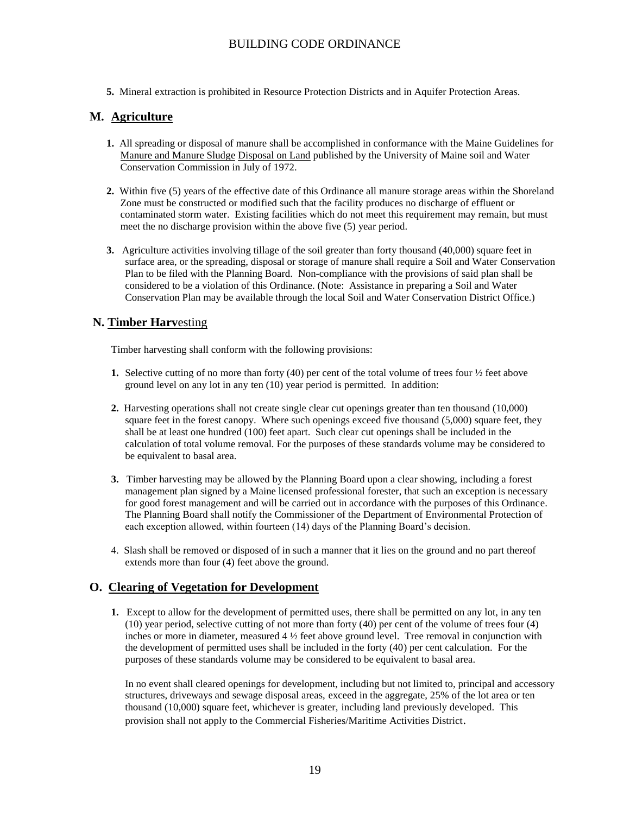**5.** Mineral extraction is prohibited in Resource Protection Districts and in Aquifer Protection Areas.

### **M. Agriculture**

- **1.** All spreading or disposal of manure shall be accomplished in conformance with the Maine Guidelines for Manure and Manure Sludge Disposal on Land published by the University of Maine soil and Water Conservation Commission in July of 1972.
- **2.** Within five (5) years of the effective date of this Ordinance all manure storage areas within the Shoreland Zone must be constructed or modified such that the facility produces no discharge of effluent or contaminated storm water. Existing facilities which do not meet this requirement may remain, but must meet the no discharge provision within the above five (5) year period.
- **3.** Agriculture activities involving tillage of the soil greater than forty thousand (40,000) square feet in surface area, or the spreading, disposal or storage of manure shall require a Soil and Water Conservation Plan to be filed with the Planning Board. Non-compliance with the provisions of said plan shall be considered to be a violation of this Ordinance. (Note: Assistance in preparing a Soil and Water Conservation Plan may be available through the local Soil and Water Conservation District Office.)

### **N. Timber Harv**esting

Timber harvesting shall conform with the following provisions:

- **1.** Selective cutting of no more than forty (40) per cent of the total volume of trees four  $\frac{1}{2}$  feet above ground level on any lot in any ten (10) year period is permitted. In addition:
- **2.** Harvesting operations shall not create single clear cut openings greater than ten thousand (10,000) square feet in the forest canopy. Where such openings exceed five thousand (5,000) square feet, they shall be at least one hundred (100) feet apart. Such clear cut openings shall be included in the calculation of total volume removal. For the purposes of these standards volume may be considered to be equivalent to basal area.
- **3.** Timber harvesting may be allowed by the Planning Board upon a clear showing, including a forest management plan signed by a Maine licensed professional forester, that such an exception is necessary for good forest management and will be carried out in accordance with the purposes of this Ordinance. The Planning Board shall notify the Commissioner of the Department of Environmental Protection of each exception allowed, within fourteen (14) days of the Planning Board's decision.
- 4. Slash shall be removed or disposed of in such a manner that it lies on the ground and no part thereof extends more than four (4) feet above the ground.

### **O. Clearing of Vegetation for Development**

**1.** Except to allow for the development of permitted uses, there shall be permitted on any lot, in any ten (10) year period, selective cutting of not more than forty (40) per cent of the volume of trees four (4) inches or more in diameter, measured 4 ½ feet above ground level. Tree removal in conjunction with the development of permitted uses shall be included in the forty (40) per cent calculation. For the purposes of these standards volume may be considered to be equivalent to basal area.

In no event shall cleared openings for development, including but not limited to, principal and accessory structures, driveways and sewage disposal areas, exceed in the aggregate, 25% of the lot area or ten thousand (10,000) square feet, whichever is greater, including land previously developed. This provision shall not apply to the Commercial Fisheries/Maritime Activities District.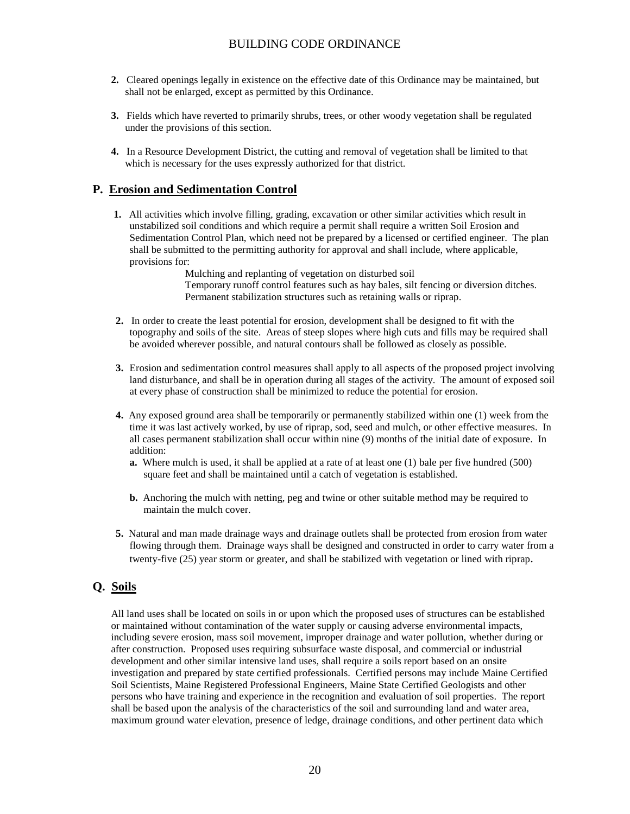- **2.** Cleared openings legally in existence on the effective date of this Ordinance may be maintained, but shall not be enlarged, except as permitted by this Ordinance.
- **3.** Fields which have reverted to primarily shrubs, trees, or other woody vegetation shall be regulated under the provisions of this section.
- **4.** In a Resource Development District, the cutting and removal of vegetation shall be limited to that which is necessary for the uses expressly authorized for that district.

### **P. Erosion and Sedimentation Control**

**1.** All activities which involve filling, grading, excavation or other similar activities which result in unstabilized soil conditions and which require a permit shall require a written Soil Erosion and Sedimentation Control Plan, which need not be prepared by a licensed or certified engineer. The plan shall be submitted to the permitting authority for approval and shall include, where applicable, provisions for:

Mulching and replanting of vegetation on disturbed soil Temporary runoff control features such as hay bales, silt fencing or diversion ditches. Permanent stabilization structures such as retaining walls or riprap.

- **2.** In order to create the least potential for erosion, development shall be designed to fit with the topography and soils of the site. Areas of steep slopes where high cuts and fills may be required shall be avoided wherever possible, and natural contours shall be followed as closely as possible.
- **3.** Erosion and sedimentation control measures shall apply to all aspects of the proposed project involving land disturbance, and shall be in operation during all stages of the activity. The amount of exposed soil at every phase of construction shall be minimized to reduce the potential for erosion.
- **4.** Any exposed ground area shall be temporarily or permanently stabilized within one (1) week from the time it was last actively worked, by use of riprap, sod, seed and mulch, or other effective measures. In all cases permanent stabilization shall occur within nine (9) months of the initial date of exposure. In addition:
	- **a.** Where mulch is used, it shall be applied at a rate of at least one (1) bale per five hundred (500) square feet and shall be maintained until a catch of vegetation is established.
	- **b.** Anchoring the mulch with netting, peg and twine or other suitable method may be required to maintain the mulch cover.
- **5.** Natural and man made drainage ways and drainage outlets shall be protected from erosion from water flowing through them. Drainage ways shall be designed and constructed in order to carry water from a twenty-five (25) year storm or greater, and shall be stabilized with vegetation or lined with riprap.

## **Q. Soils**

All land uses shall be located on soils in or upon which the proposed uses of structures can be established or maintained without contamination of the water supply or causing adverse environmental impacts, including severe erosion, mass soil movement, improper drainage and water pollution, whether during or after construction. Proposed uses requiring subsurface waste disposal, and commercial or industrial development and other similar intensive land uses, shall require a soils report based on an onsite investigation and prepared by state certified professionals. Certified persons may include Maine Certified Soil Scientists, Maine Registered Professional Engineers, Maine State Certified Geologists and other persons who have training and experience in the recognition and evaluation of soil properties. The report shall be based upon the analysis of the characteristics of the soil and surrounding land and water area, maximum ground water elevation, presence of ledge, drainage conditions, and other pertinent data which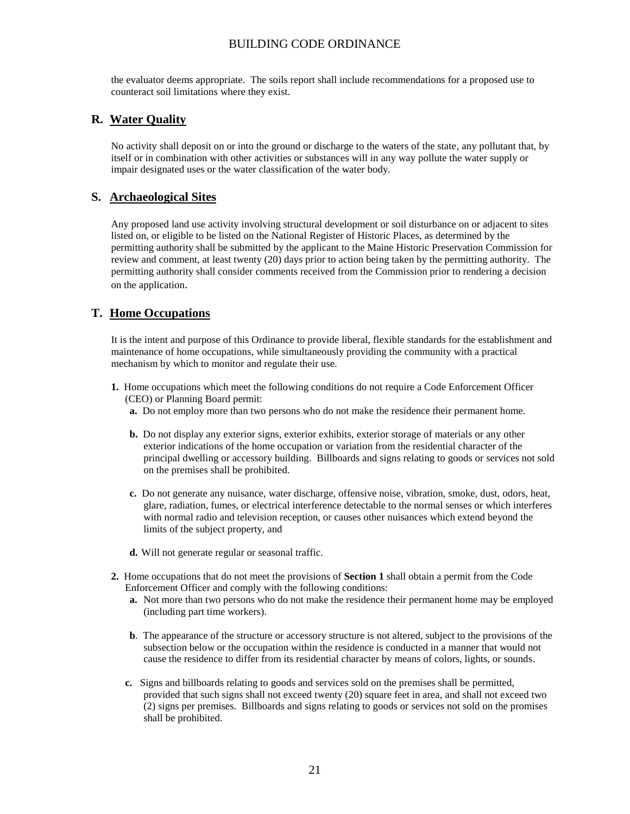the evaluator deems appropriate. The soils report shall include recommendations for a proposed use to counteract soil limitations where they exist.

### **R. Water Quality**

No activity shall deposit on or into the ground or discharge to the waters of the state, any pollutant that, by itself or in combination with other activities or substances will in any way pollute the water supply or impair designated uses or the water classification of the water body.

## **S. Archaeological Sites**

Any proposed land use activity involving structural development or soil disturbance on or adjacent to sites listed on, or eligible to be listed on the National Register of Historic Places, as determined by the permitting authority shall be submitted by the applicant to the Maine Historic Preservation Commission for review and comment, at least twenty (20) days prior to action being taken by the permitting authority. The permitting authority shall consider comments received from the Commission prior to rendering a decision on the application.

## **T. Home Occupations**

It is the intent and purpose of this Ordinance to provide liberal, flexible standards for the establishment and maintenance of home occupations, while simultaneously providing the community with a practical mechanism by which to monitor and regulate their use.

- **1.** Home occupations which meet the following conditions do not require a Code Enforcement Officer (CEO) or Planning Board permit:
	- **a.** Do not employ more than two persons who do not make the residence their permanent home.
	- **b.** Do not display any exterior signs, exterior exhibits, exterior storage of materials or any other exterior indications of the home occupation or variation from the residential character of the principal dwelling or accessory building. Billboards and signs relating to goods or services not sold on the premises shall be prohibited.
	- **c.** Do not generate any nuisance, water discharge, offensive noise, vibration, smoke, dust, odors, heat, glare, radiation, fumes, or electrical interference detectable to the normal senses or which interferes with normal radio and television reception, or causes other nuisances which extend beyond the limits of the subject property, and
	- **d.** Will not generate regular or seasonal traffic.
- **2.** Home occupations that do not meet the provisions of **Section 1** shall obtain a permit from the Code Enforcement Officer and comply with the following conditions:
	- **a.** Not more than two persons who do not make the residence their permanent home may be employed (including part time workers).
	- **b**. The appearance of the structure or accessory structure is not altered, subject to the provisions of the subsection below or the occupation within the residence is conducted in a manner that would not cause the residence to differ from its residential character by means of colors, lights, or sounds.
	- **c.** Signs and billboards relating to goods and services sold on the premises shall be permitted, provided that such signs shall not exceed twenty (20) square feet in area, and shall not exceed two (2) signs per premises. Billboards and signs relating to goods or services not sold on the promises shall be prohibited.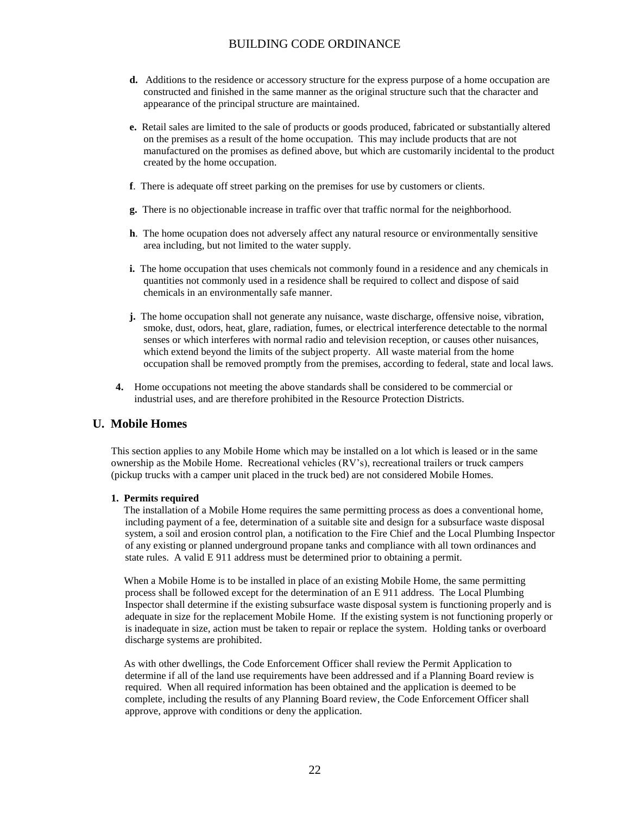- **d.** Additions to the residence or accessory structure for the express purpose of a home occupation are constructed and finished in the same manner as the original structure such that the character and appearance of the principal structure are maintained.
- **e.** Retail sales are limited to the sale of products or goods produced, fabricated or substantially altered on the premises as a result of the home occupation. This may include products that are not manufactured on the promises as defined above, but which are customarily incidental to the product created by the home occupation.
- **f**. There is adequate off street parking on the premises for use by customers or clients.
- **g.** There is no objectionable increase in traffic over that traffic normal for the neighborhood.
- **h**. The home ocupation does not adversely affect any natural resource or environmentally sensitive area including, but not limited to the water supply.
- **i.** The home occupation that uses chemicals not commonly found in a residence and any chemicals in quantities not commonly used in a residence shall be required to collect and dispose of said chemicals in an environmentally safe manner.
- **j.** The home occupation shall not generate any nuisance, waste discharge, offensive noise, vibration, smoke, dust, odors, heat, glare, radiation, fumes, or electrical interference detectable to the normal senses or which interferes with normal radio and television reception, or causes other nuisances, which extend beyond the limits of the subject property. All waste material from the home occupation shall be removed promptly from the premises, according to federal, state and local laws.
- **4.** Home occupations not meeting the above standards shall be considered to be commercial or industrial uses, and are therefore prohibited in the Resource Protection Districts.

### **U. Mobile Homes**

This section applies to any Mobile Home which may be installed on a lot which is leased or in the same ownership as the Mobile Home. Recreational vehicles (RV's), recreational trailers or truck campers (pickup trucks with a camper unit placed in the truck bed) are not considered Mobile Homes.

#### **1. Permits required**

The installation of a Mobile Home requires the same permitting process as does a conventional home, including payment of a fee, determination of a suitable site and design for a subsurface waste disposal system, a soil and erosion control plan, a notification to the Fire Chief and the Local Plumbing Inspector of any existing or planned underground propane tanks and compliance with all town ordinances and state rules. A valid E 911 address must be determined prior to obtaining a permit.

 When a Mobile Home is to be installed in place of an existing Mobile Home, the same permitting process shall be followed except for the determination of an E 911 address. The Local Plumbing Inspector shall determine if the existing subsurface waste disposal system is functioning properly and is adequate in size for the replacement Mobile Home. If the existing system is not functioning properly or is inadequate in size, action must be taken to repair or replace the system. Holding tanks or overboard discharge systems are prohibited.

 As with other dwellings, the Code Enforcement Officer shall review the Permit Application to determine if all of the land use requirements have been addressed and if a Planning Board review is required. When all required information has been obtained and the application is deemed to be complete, including the results of any Planning Board review, the Code Enforcement Officer shall approve, approve with conditions or deny the application.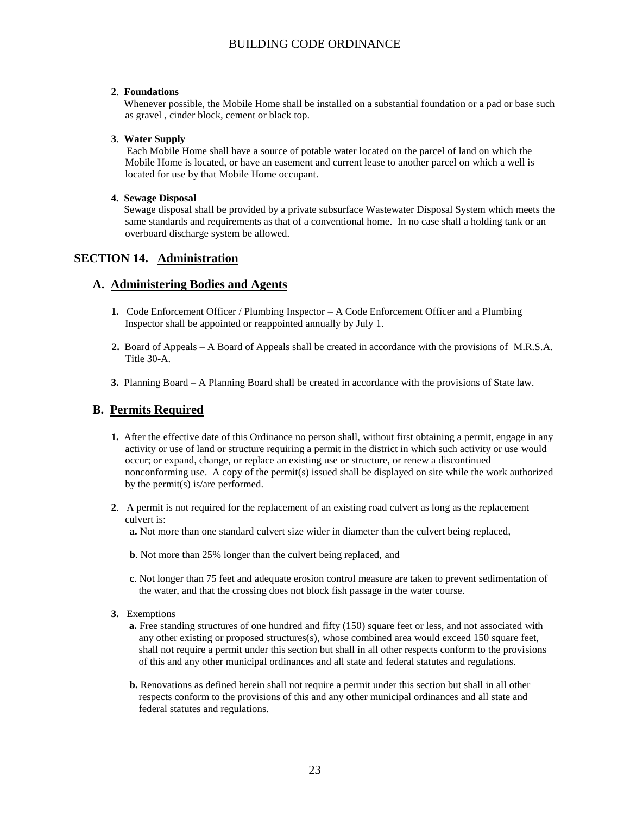#### **2**. **Foundations**

Whenever possible, the Mobile Home shall be installed on a substantial foundation or a pad or base such as gravel , cinder block, cement or black top.

#### **3**. **Water Supply**

Each Mobile Home shall have a source of potable water located on the parcel of land on which the Mobile Home is located, or have an easement and current lease to another parcel on which a well is located for use by that Mobile Home occupant.

#### **4. Sewage Disposal**

Sewage disposal shall be provided by a private subsurface Wastewater Disposal System which meets the same standards and requirements as that of a conventional home. In no case shall a holding tank or an overboard discharge system be allowed.

### **SECTION 14. Administration**

#### **A. Administering Bodies and Agents**

- **1.** Code Enforcement Officer / Plumbing Inspector A Code Enforcement Officer and a Plumbing Inspector shall be appointed or reappointed annually by July 1.
- **2.** Board of Appeals A Board of Appeals shall be created in accordance with the provisions of M.R.S.A. Title 30-A.
- **3.** Planning Board A Planning Board shall be created in accordance with the provisions of State law.

### **B. Permits Required**

- **1.** After the effective date of this Ordinance no person shall, without first obtaining a permit, engage in any activity or use of land or structure requiring a permit in the district in which such activity or use would occur; or expand, change, or replace an existing use or structure, or renew a discontinued nonconforming use. A copy of the permit(s) issued shall be displayed on site while the work authorized by the permit(s) is/are performed.
- **2**. A permit is not required for the replacement of an existing road culvert as long as the replacement culvert is:
	- **a.** Not more than one standard culvert size wider in diameter than the culvert being replaced,
	- **b**. Not more than 25% longer than the culvert being replaced, and
	- **c**. Not longer than 75 feet and adequate erosion control measure are taken to prevent sedimentation of the water, and that the crossing does not block fish passage in the water course.
- **3.** Exemptions
	- **a.** Free standing structures of one hundred and fifty (150) square feet or less, and not associated with any other existing or proposed structures(s), whose combined area would exceed 150 square feet, shall not require a permit under this section but shall in all other respects conform to the provisions of this and any other municipal ordinances and all state and federal statutes and regulations.
	- **b.** Renovations as defined herein shall not require a permit under this section but shall in all other respects conform to the provisions of this and any other municipal ordinances and all state and federal statutes and regulations.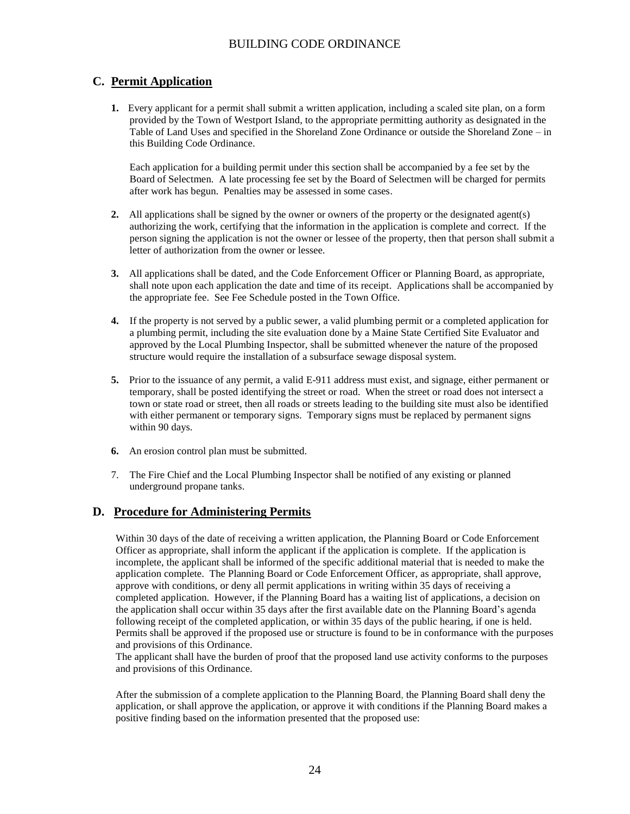# **C. Permit Application**

**1.** Every applicant for a permit shall submit a written application, including a scaled site plan, on a form provided by the Town of Westport Island, to the appropriate permitting authority as designated in the Table of Land Uses and specified in the Shoreland Zone Ordinance or outside the Shoreland Zone – in this Building Code Ordinance.

Each application for a building permit under this section shall be accompanied by a fee set by the Board of Selectmen. A late processing fee set by the Board of Selectmen will be charged for permits after work has begun. Penalties may be assessed in some cases.

- **2.** All applications shall be signed by the owner or owners of the property or the designated agent(s) authorizing the work, certifying that the information in the application is complete and correct. If the person signing the application is not the owner or lessee of the property, then that person shall submit a letter of authorization from the owner or lessee.
- **3.** All applications shall be dated, and the Code Enforcement Officer or Planning Board, as appropriate, shall note upon each application the date and time of its receipt. Applications shall be accompanied by the appropriate fee. See Fee Schedule posted in the Town Office.
- **4.** If the property is not served by a public sewer, a valid plumbing permit or a completed application for a plumbing permit, including the site evaluation done by a Maine State Certified Site Evaluator and approved by the Local Plumbing Inspector, shall be submitted whenever the nature of the proposed structure would require the installation of a subsurface sewage disposal system.
- **5.** Prior to the issuance of any permit, a valid E-911 address must exist, and signage, either permanent or temporary, shall be posted identifying the street or road. When the street or road does not intersect a town or state road or street, then all roads or streets leading to the building site must also be identified with either permanent or temporary signs. Temporary signs must be replaced by permanent signs within 90 days.
- **6.** An erosion control plan must be submitted.
- 7. The Fire Chief and the Local Plumbing Inspector shall be notified of any existing or planned underground propane tanks.

## **D. Procedure for Administering Permits**

Within 30 days of the date of receiving a written application, the Planning Board or Code Enforcement Officer as appropriate, shall inform the applicant if the application is complete. If the application is incomplete, the applicant shall be informed of the specific additional material that is needed to make the application complete. The Planning Board or Code Enforcement Officer, as appropriate, shall approve, approve with conditions, or deny all permit applications in writing within 35 days of receiving a completed application. However, if the Planning Board has a waiting list of applications, a decision on the application shall occur within 35 days after the first available date on the Planning Board's agenda following receipt of the completed application, or within 35 days of the public hearing, if one is held. Permits shall be approved if the proposed use or structure is found to be in conformance with the purposes and provisions of this Ordinance.

The applicant shall have the burden of proof that the proposed land use activity conforms to the purposes and provisions of this Ordinance.

After the submission of a complete application to the Planning Board, the Planning Board shall deny the application, or shall approve the application, or approve it with conditions if the Planning Board makes a positive finding based on the information presented that the proposed use: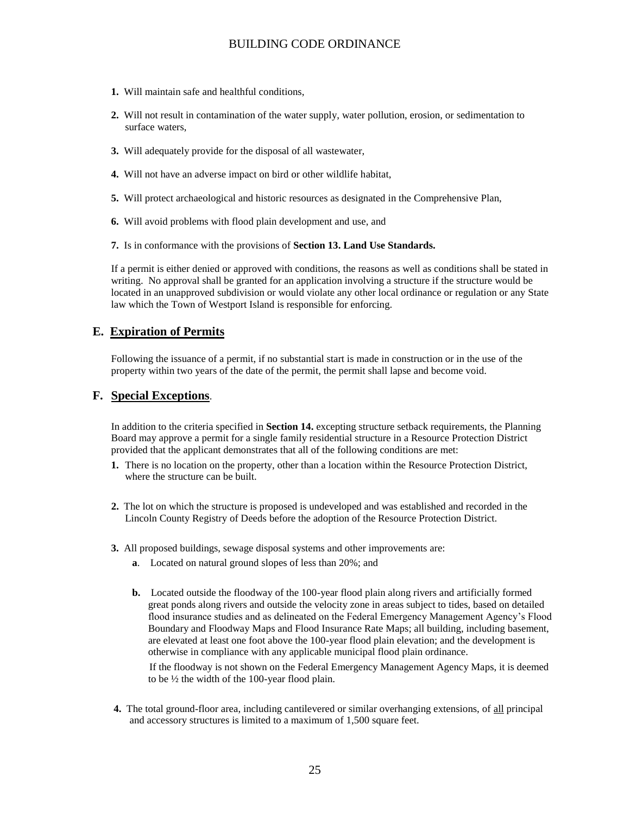- **1.** Will maintain safe and healthful conditions,
- **2.** Will not result in contamination of the water supply, water pollution, erosion, or sedimentation to surface waters,
- **3.** Will adequately provide for the disposal of all wastewater,
- **4.** Will not have an adverse impact on bird or other wildlife habitat,
- **5.** Will protect archaeological and historic resources as designated in the Comprehensive Plan,
- **6.** Will avoid problems with flood plain development and use, and
- **7.** Is in conformance with the provisions of **Section 13. Land Use Standards.**

If a permit is either denied or approved with conditions, the reasons as well as conditions shall be stated in writing. No approval shall be granted for an application involving a structure if the structure would be located in an unapproved subdivision or would violate any other local ordinance or regulation or any State law which the Town of Westport Island is responsible for enforcing.

#### **E. Expiration of Permits**

Following the issuance of a permit, if no substantial start is made in construction or in the use of the property within two years of the date of the permit, the permit shall lapse and become void.

### **F. Special Exceptions**.

In addition to the criteria specified in **Section 14.** excepting structure setback requirements, the Planning Board may approve a permit for a single family residential structure in a Resource Protection District provided that the applicant demonstrates that all of the following conditions are met:

- **1.** There is no location on the property, other than a location within the Resource Protection District, where the structure can be built.
- **2.** The lot on which the structure is proposed is undeveloped and was established and recorded in the Lincoln County Registry of Deeds before the adoption of the Resource Protection District.
- **3.** All proposed buildings, sewage disposal systems and other improvements are:
	- **a**. Located on natural ground slopes of less than 20%; and
	- **b.** Located outside the floodway of the 100-year flood plain along rivers and artificially formed great ponds along rivers and outside the velocity zone in areas subject to tides, based on detailed flood insurance studies and as delineated on the Federal Emergency Management Agency's Flood Boundary and Floodway Maps and Flood Insurance Rate Maps; all building, including basement, are elevated at least one foot above the 100-year flood plain elevation; and the development is otherwise in compliance with any applicable municipal flood plain ordinance.

 If the floodway is not shown on the Federal Emergency Management Agency Maps, it is deemed to be ½ the width of the 100-year flood plain.

**4.** The total ground-floor area, including cantilevered or similar overhanging extensions, of all principal and accessory structures is limited to a maximum of 1,500 square feet.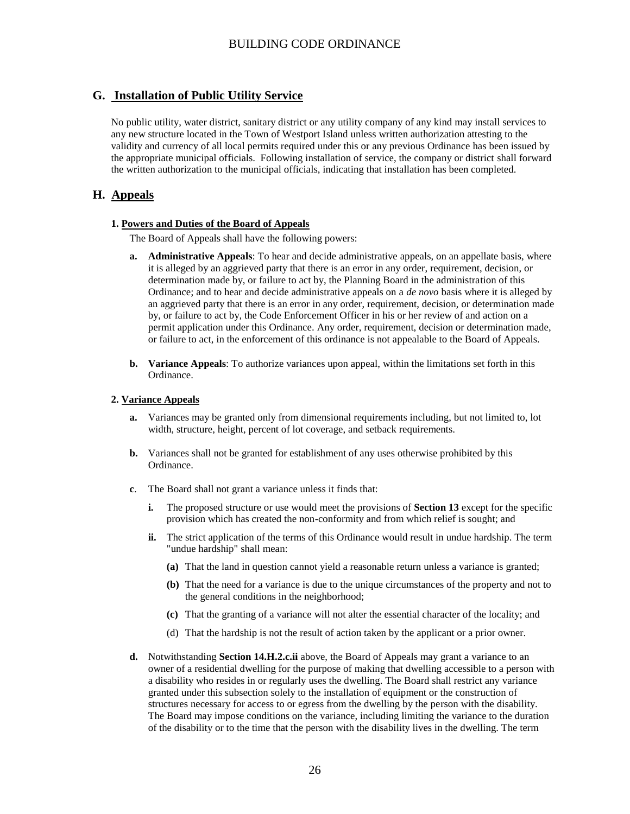# **G. Installation of Public Utility Service**

No public utility, water district, sanitary district or any utility company of any kind may install services to any new structure located in the Town of Westport Island unless written authorization attesting to the validity and currency of all local permits required under this or any previous Ordinance has been issued by the appropriate municipal officials. Following installation of service, the company or district shall forward the written authorization to the municipal officials, indicating that installation has been completed.

# **H. Appeals**

#### **1. Powers and Duties of the Board of Appeals**

The Board of Appeals shall have the following powers:

- **a. Administrative Appeals**: To hear and decide administrative appeals, on an appellate basis, where it is alleged by an aggrieved party that there is an error in any order, requirement, decision, or determination made by, or failure to act by, the Planning Board in the administration of this Ordinance; and to hear and decide administrative appeals on a *de novo* basis where it is alleged by an aggrieved party that there is an error in any order, requirement, decision, or determination made by, or failure to act by, the Code Enforcement Officer in his or her review of and action on a permit application under this Ordinance. Any order, requirement, decision or determination made, or failure to act, in the enforcement of this ordinance is not appealable to the Board of Appeals.
- **b. Variance Appeals**: To authorize variances upon appeal, within the limitations set forth in this Ordinance.

#### **2. Variance Appeals**

- **a.** Variances may be granted only from dimensional requirements including, but not limited to, lot width, structure, height, percent of lot coverage, and setback requirements.
- **b.** Variances shall not be granted for establishment of any uses otherwise prohibited by this Ordinance.
- **c**. The Board shall not grant a variance unless it finds that:
	- **i.** The proposed structure or use would meet the provisions of **Section 13** except for the specific provision which has created the non-conformity and from which relief is sought; and
	- **ii.** The strict application of the terms of this Ordinance would result in undue hardship. The term "undue hardship" shall mean:
		- **(a)** That the land in question cannot yield a reasonable return unless a variance is granted;
		- **(b)** That the need for a variance is due to the unique circumstances of the property and not to the general conditions in the neighborhood;
		- **(c)** That the granting of a variance will not alter the essential character of the locality; and
		- (d) That the hardship is not the result of action taken by the applicant or a prior owner.
- **d.** Notwithstanding **Section 14.H.2.c.ii** above, the Board of Appeals may grant a variance to an owner of a residential dwelling for the purpose of making that dwelling accessible to a person with a disability who resides in or regularly uses the dwelling. The Board shall restrict any variance granted under this subsection solely to the installation of equipment or the construction of structures necessary for access to or egress from the dwelling by the person with the disability. The Board may impose conditions on the variance, including limiting the variance to the duration of the disability or to the time that the person with the disability lives in the dwelling. The term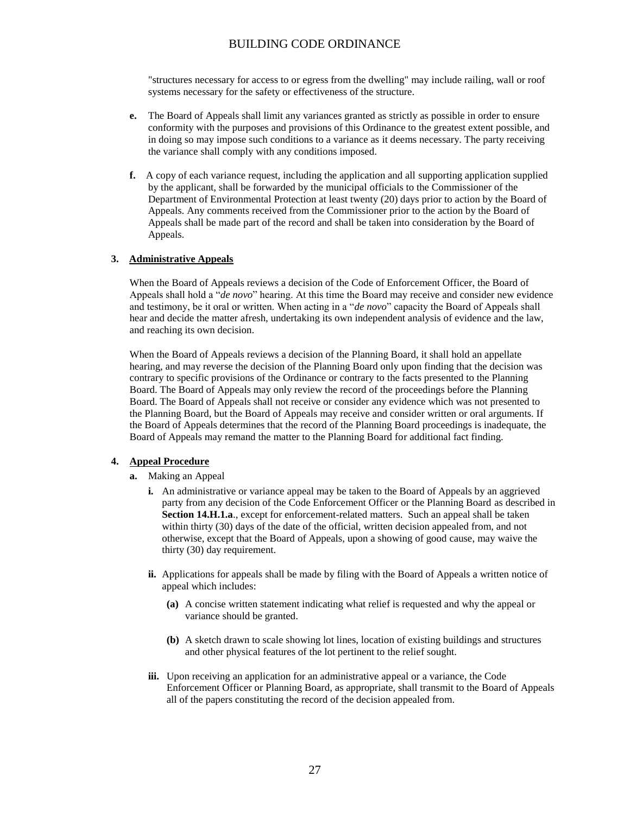"structures necessary for access to or egress from the dwelling" may include railing, wall or roof systems necessary for the safety or effectiveness of the structure.

- **e.** The Board of Appeals shall limit any variances granted as strictly as possible in order to ensure conformity with the purposes and provisions of this Ordinance to the greatest extent possible, and in doing so may impose such conditions to a variance as it deems necessary. The party receiving the variance shall comply with any conditions imposed.
- **f.** A copy of each variance request, including the application and all supporting application supplied by the applicant, shall be forwarded by the municipal officials to the Commissioner of the Department of Environmental Protection at least twenty (20) days prior to action by the Board of Appeals. Any comments received from the Commissioner prior to the action by the Board of Appeals shall be made part of the record and shall be taken into consideration by the Board of Appeals.

#### **3. Administrative Appeals**

When the Board of Appeals reviews a decision of the Code of Enforcement Officer, the Board of Appeals shall hold a "*de novo*" hearing. At this time the Board may receive and consider new evidence and testimony, be it oral or written. When acting in a "*de novo*" capacity the Board of Appeals shall hear and decide the matter afresh, undertaking its own independent analysis of evidence and the law, and reaching its own decision.

When the Board of Appeals reviews a decision of the Planning Board, it shall hold an appellate hearing, and may reverse the decision of the Planning Board only upon finding that the decision was contrary to specific provisions of the Ordinance or contrary to the facts presented to the Planning Board. The Board of Appeals may only review the record of the proceedings before the Planning Board. The Board of Appeals shall not receive or consider any evidence which was not presented to the Planning Board, but the Board of Appeals may receive and consider written or oral arguments. If the Board of Appeals determines that the record of the Planning Board proceedings is inadequate, the Board of Appeals may remand the matter to the Planning Board for additional fact finding.

#### **4. Appeal Procedure**

- **a.** Making an Appeal
	- **i.** An administrative or variance appeal may be taken to the Board of Appeals by an aggrieved party from any decision of the Code Enforcement Officer or the Planning Board as described in **Section 14.H.1.a**., except for enforcement-related matters. Such an appeal shall be taken within thirty (30) days of the date of the official, written decision appealed from, and not otherwise, except that the Board of Appeals, upon a showing of good cause, may waive the thirty (30) day requirement.
	- **ii.** Applications for appeals shall be made by filing with the Board of Appeals a written notice of appeal which includes:
		- **(a)** A concise written statement indicating what relief is requested and why the appeal or variance should be granted.
		- **(b)** A sketch drawn to scale showing lot lines, location of existing buildings and structures and other physical features of the lot pertinent to the relief sought.
	- **iii.** Upon receiving an application for an administrative appeal or a variance, the Code Enforcement Officer or Planning Board, as appropriate, shall transmit to the Board of Appeals all of the papers constituting the record of the decision appealed from.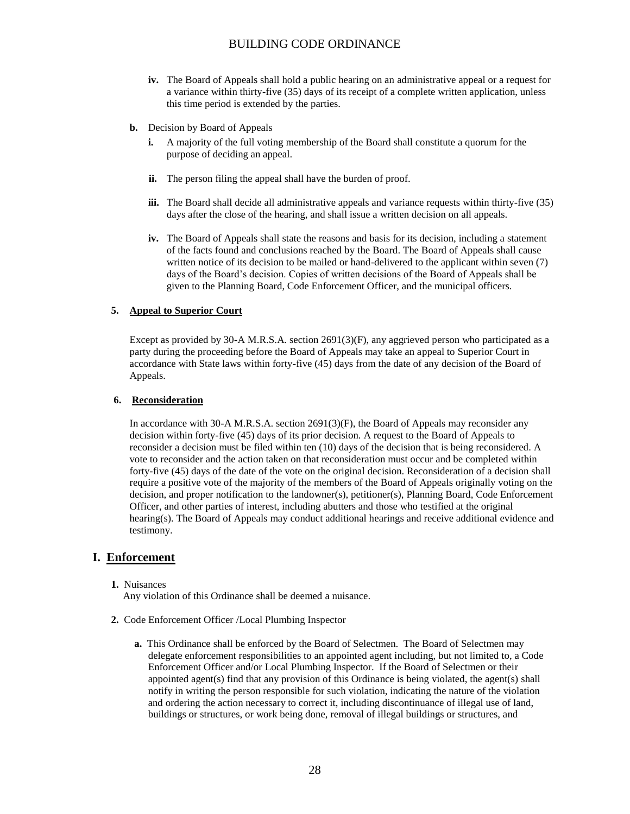- **iv.** The Board of Appeals shall hold a public hearing on an administrative appeal or a request for a variance within thirty-five (35) days of its receipt of a complete written application, unless this time period is extended by the parties.
- **b.** Decision by Board of Appeals
	- **i.** A majority of the full voting membership of the Board shall constitute a quorum for the purpose of deciding an appeal.
	- **ii.** The person filing the appeal shall have the burden of proof.
	- **iii.** The Board shall decide all administrative appeals and variance requests within thirty-five (35) days after the close of the hearing, and shall issue a written decision on all appeals.
	- **iv.** The Board of Appeals shall state the reasons and basis for its decision, including a statement of the facts found and conclusions reached by the Board. The Board of Appeals shall cause written notice of its decision to be mailed or hand-delivered to the applicant within seven (7) days of the Board's decision. Copies of written decisions of the Board of Appeals shall be given to the Planning Board, Code Enforcement Officer, and the municipal officers.

#### **5. Appeal to Superior Court**

Except as provided by 30-A M.R.S.A. section 2691(3)(F), any aggrieved person who participated as a party during the proceeding before the Board of Appeals may take an appeal to Superior Court in accordance with State laws within forty-five (45) days from the date of any decision of the Board of Appeals.

#### **6. Reconsideration**

In accordance with 30-A M.R.S.A. section 2691(3)(F), the Board of Appeals may reconsider any decision within forty-five (45) days of its prior decision. A request to the Board of Appeals to reconsider a decision must be filed within ten (10) days of the decision that is being reconsidered. A vote to reconsider and the action taken on that reconsideration must occur and be completed within forty-five (45) days of the date of the vote on the original decision. Reconsideration of a decision shall require a positive vote of the majority of the members of the Board of Appeals originally voting on the decision, and proper notification to the landowner(s), petitioner(s), Planning Board, Code Enforcement Officer, and other parties of interest, including abutters and those who testified at the original hearing(s). The Board of Appeals may conduct additional hearings and receive additional evidence and testimony.

## **I. Enforcement**

#### **1.** Nuisances

Any violation of this Ordinance shall be deemed a nuisance.

- **2.** Code Enforcement Officer /Local Plumbing Inspector
	- **a.** This Ordinance shall be enforced by the Board of Selectmen. The Board of Selectmen may delegate enforcement responsibilities to an appointed agent including, but not limited to, a Code Enforcement Officer and/or Local Plumbing Inspector. If the Board of Selectmen or their appointed agent(s) find that any provision of this Ordinance is being violated, the agent(s) shall notify in writing the person responsible for such violation, indicating the nature of the violation and ordering the action necessary to correct it, including discontinuance of illegal use of land, buildings or structures, or work being done, removal of illegal buildings or structures, and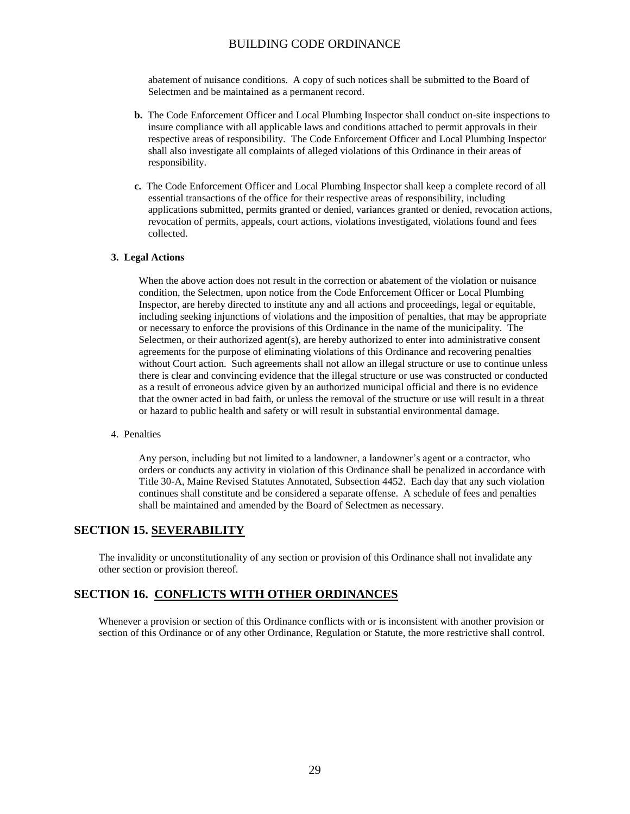abatement of nuisance conditions. A copy of such notices shall be submitted to the Board of Selectmen and be maintained as a permanent record.

- **b.** The Code Enforcement Officer and Local Plumbing Inspector shall conduct on-site inspections to insure compliance with all applicable laws and conditions attached to permit approvals in their respective areas of responsibility. The Code Enforcement Officer and Local Plumbing Inspector shall also investigate all complaints of alleged violations of this Ordinance in their areas of responsibility.
- **c.** The Code Enforcement Officer and Local Plumbing Inspector shall keep a complete record of all essential transactions of the office for their respective areas of responsibility, including applications submitted, permits granted or denied, variances granted or denied, revocation actions, revocation of permits, appeals, court actions, violations investigated, violations found and fees collected.

#### **3. Legal Actions**

When the above action does not result in the correction or abatement of the violation or nuisance condition, the Selectmen, upon notice from the Code Enforcement Officer or Local Plumbing Inspector, are hereby directed to institute any and all actions and proceedings, legal or equitable, including seeking injunctions of violations and the imposition of penalties, that may be appropriate or necessary to enforce the provisions of this Ordinance in the name of the municipality. The Selectmen, or their authorized agent(s), are hereby authorized to enter into administrative consent agreements for the purpose of eliminating violations of this Ordinance and recovering penalties without Court action. Such agreements shall not allow an illegal structure or use to continue unless there is clear and convincing evidence that the illegal structure or use was constructed or conducted as a result of erroneous advice given by an authorized municipal official and there is no evidence that the owner acted in bad faith, or unless the removal of the structure or use will result in a threat or hazard to public health and safety or will result in substantial environmental damage.

#### 4. Penalties

Any person, including but not limited to a landowner, a landowner's agent or a contractor, who orders or conducts any activity in violation of this Ordinance shall be penalized in accordance with Title 30-A, Maine Revised Statutes Annotated, Subsection 4452. Each day that any such violation continues shall constitute and be considered a separate offense. A schedule of fees and penalties shall be maintained and amended by the Board of Selectmen as necessary.

### **SECTION 15. SEVERABILITY**

The invalidity or unconstitutionality of any section or provision of this Ordinance shall not invalidate any other section or provision thereof.

### **SECTION 16. CONFLICTS WITH OTHER ORDINANCES**

Whenever a provision or section of this Ordinance conflicts with or is inconsistent with another provision or section of this Ordinance or of any other Ordinance, Regulation or Statute, the more restrictive shall control.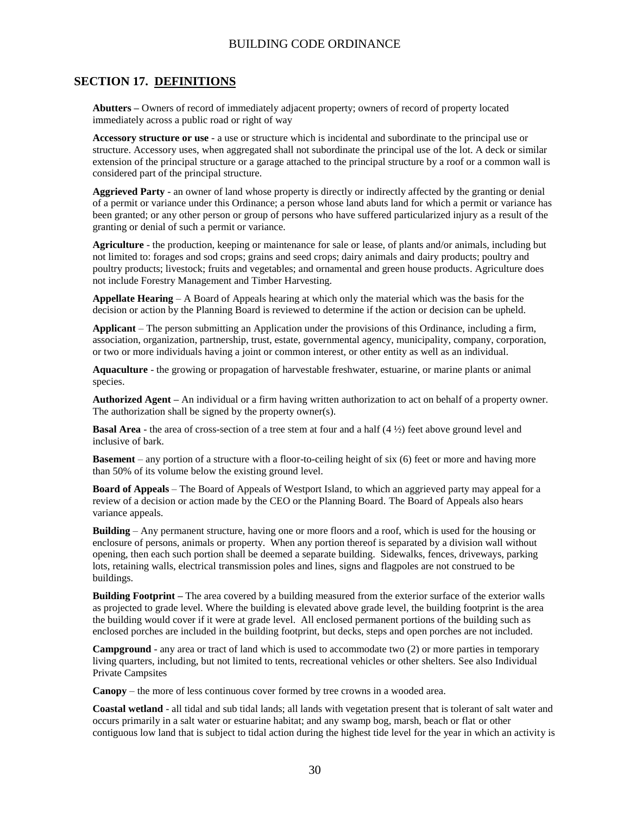### **SECTION 17. DEFINITIONS**

**Abutters –** Owners of record of immediately adjacent property; owners of record of property located immediately across a public road or right of way

**Accessory structure or use** - a use or structure which is incidental and subordinate to the principal use or structure. Accessory uses, when aggregated shall not subordinate the principal use of the lot. A deck or similar extension of the principal structure or a garage attached to the principal structure by a roof or a common wall is considered part of the principal structure.

**Aggrieved Party** - an owner of land whose property is directly or indirectly affected by the granting or denial of a permit or variance under this Ordinance; a person whose land abuts land for which a permit or variance has been granted; or any other person or group of persons who have suffered particularized injury as a result of the granting or denial of such a permit or variance.

**Agriculture** - the production, keeping or maintenance for sale or lease, of plants and/or animals, including but not limited to: forages and sod crops; grains and seed crops; dairy animals and dairy products; poultry and poultry products; livestock; fruits and vegetables; and ornamental and green house products. Agriculture does not include Forestry Management and Timber Harvesting.

**Appellate Hearing** – A Board of Appeals hearing at which only the material which was the basis for the decision or action by the Planning Board is reviewed to determine if the action or decision can be upheld.

**Applicant** – The person submitting an Application under the provisions of this Ordinance, including a firm, association, organization, partnership, trust, estate, governmental agency, municipality, company, corporation, or two or more individuals having a joint or common interest, or other entity as well as an individual.

**Aquaculture** - the growing or propagation of harvestable freshwater, estuarine, or marine plants or animal species.

**Authorized Agent –** An individual or a firm having written authorization to act on behalf of a property owner. The authorization shall be signed by the property owner(s).

**Basal Area** - the area of cross-section of a tree stem at four and a half (4 ½) feet above ground level and inclusive of bark.

**Basement** – any portion of a structure with a floor-to-ceiling height of six (6) feet or more and having more than 50% of its volume below the existing ground level.

**Board of Appeals** – The Board of Appeals of Westport Island, to which an aggrieved party may appeal for a review of a decision or action made by the CEO or the Planning Board. The Board of Appeals also hears variance appeals.

**Building** – Any permanent structure, having one or more floors and a roof, which is used for the housing or enclosure of persons, animals or property. When any portion thereof is separated by a division wall without opening, then each such portion shall be deemed a separate building. Sidewalks, fences, driveways, parking lots, retaining walls, electrical transmission poles and lines, signs and flagpoles are not construed to be buildings.

**Building Footprint –** The area covered by a building measured from the exterior surface of the exterior walls as projected to grade level. Where the building is elevated above grade level, the building footprint is the area the building would cover if it were at grade level. All enclosed permanent portions of the building such as enclosed porches are included in the building footprint, but decks, steps and open porches are not included.

**Campground** - any area or tract of land which is used to accommodate two (2) or more parties in temporary living quarters, including, but not limited to tents, recreational vehicles or other shelters. See also Individual Private Campsites

**Canopy** – the more of less continuous cover formed by tree crowns in a wooded area.

**Coastal wetland** - all tidal and sub tidal lands; all lands with vegetation present that is tolerant of salt water and occurs primarily in a salt water or estuarine habitat; and any swamp bog, marsh, beach or flat or other contiguous low land that is subject to tidal action during the highest tide level for the year in which an activity is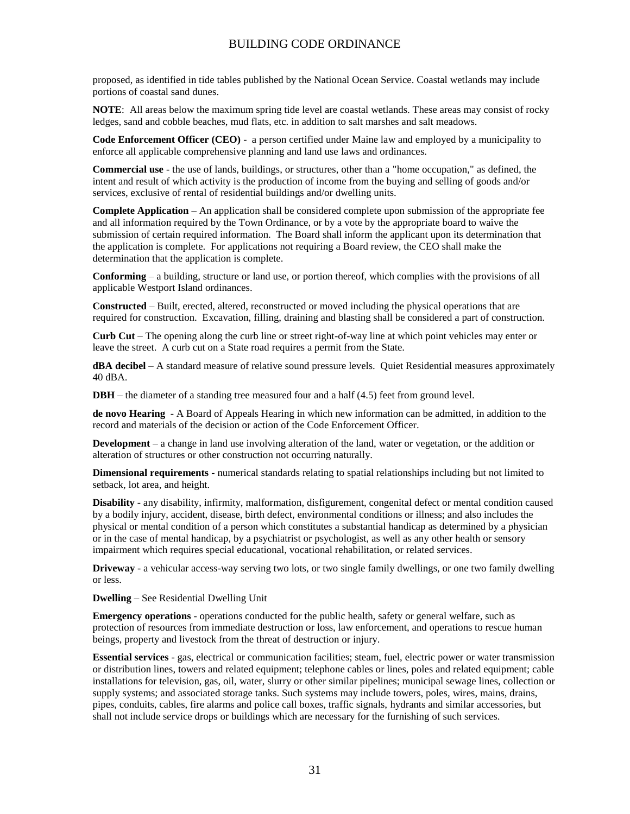proposed, as identified in tide tables published by the National Ocean Service. Coastal wetlands may include portions of coastal sand dunes.

**NOTE**: All areas below the maximum spring tide level are coastal wetlands. These areas may consist of rocky ledges, sand and cobble beaches, mud flats, etc. in addition to salt marshes and salt meadows.

**Code Enforcement Officer (CEO)** - a person certified under Maine law and employed by a municipality to enforce all applicable comprehensive planning and land use laws and ordinances.

**Commercial use** - the use of lands, buildings, or structures, other than a "home occupation," as defined, the intent and result of which activity is the production of income from the buying and selling of goods and/or services, exclusive of rental of residential buildings and/or dwelling units.

**Complete Application** – An application shall be considered complete upon submission of the appropriate fee and all information required by the Town Ordinance, or by a vote by the appropriate board to waive the submission of certain required information. The Board shall inform the applicant upon its determination that the application is complete. For applications not requiring a Board review, the CEO shall make the determination that the application is complete.

**Conforming** – a building, structure or land use, or portion thereof, which complies with the provisions of all applicable Westport Island ordinances.

**Constructed** – Built, erected, altered, reconstructed or moved including the physical operations that are required for construction. Excavation, filling, draining and blasting shall be considered a part of construction.

**Curb Cut** – The opening along the curb line or street right-of-way line at which point vehicles may enter or leave the street. A curb cut on a State road requires a permit from the State.

**dBA decibel** – A standard measure of relative sound pressure levels. Quiet Residential measures approximately 40 dBA.

**DBH** – the diameter of a standing tree measured four and a half (4.5) feet from ground level.

**de novo Hearing** - A Board of Appeals Hearing in which new information can be admitted, in addition to the record and materials of the decision or action of the Code Enforcement Officer.

**Development** – a change in land use involving alteration of the land, water or vegetation, or the addition or alteration of structures or other construction not occurring naturally.

**Dimensional requirements** - numerical standards relating to spatial relationships including but not limited to setback, lot area, and height.

**Disability** - any disability, infirmity, malformation, disfigurement, congenital defect or mental condition caused by a bodily injury, accident, disease, birth defect, environmental conditions or illness; and also includes the physical or mental condition of a person which constitutes a substantial handicap as determined by a physician or in the case of mental handicap, by a psychiatrist or psychologist, as well as any other health or sensory impairment which requires special educational, vocational rehabilitation, or related services.

**Driveway** - a vehicular access-way serving two lots, or two single family dwellings, or one two family dwelling or less.

**Dwelling** – See Residential Dwelling Unit

**Emergency operations** - operations conducted for the public health, safety or general welfare, such as protection of resources from immediate destruction or loss, law enforcement, and operations to rescue human beings, property and livestock from the threat of destruction or injury.

**Essential services** - gas, electrical or communication facilities; steam, fuel, electric power or water transmission or distribution lines, towers and related equipment; telephone cables or lines, poles and related equipment; cable installations for television, gas, oil, water, slurry or other similar pipelines; municipal sewage lines, collection or supply systems; and associated storage tanks. Such systems may include towers, poles, wires, mains, drains, pipes, conduits, cables, fire alarms and police call boxes, traffic signals, hydrants and similar accessories, but shall not include service drops or buildings which are necessary for the furnishing of such services.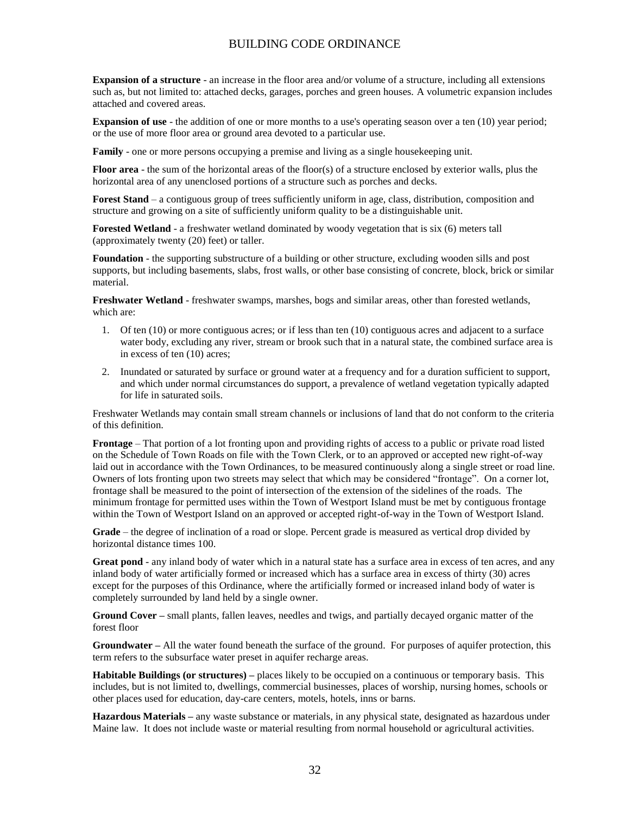**Expansion of a structure** - an increase in the floor area and/or volume of a structure, including all extensions such as, but not limited to: attached decks, garages, porches and green houses. A volumetric expansion includes attached and covered areas.

**Expansion of use** - the addition of one or more months to a use's operating season over a ten (10) year period; or the use of more floor area or ground area devoted to a particular use.

**Family** - one or more persons occupying a premise and living as a single housekeeping unit.

**Floor area** - the sum of the horizontal areas of the floor(s) of a structure enclosed by exterior walls, plus the horizontal area of any unenclosed portions of a structure such as porches and decks.

**Forest Stand** – a contiguous group of trees sufficiently uniform in age, class, distribution, composition and structure and growing on a site of sufficiently uniform quality to be a distinguishable unit.

**Forested Wetland** - a freshwater wetland dominated by woody vegetation that is six (6) meters tall (approximately twenty (20) feet) or taller.

**Foundation** - the supporting substructure of a building or other structure, excluding wooden sills and post supports, but including basements, slabs, frost walls, or other base consisting of concrete, block, brick or similar material.

**Freshwater Wetland** - freshwater swamps, marshes, bogs and similar areas, other than forested wetlands, which are:

- 1. Of ten (10) or more contiguous acres; or if less than ten (10) contiguous acres and adjacent to a surface water body, excluding any river, stream or brook such that in a natural state, the combined surface area is in excess of ten (10) acres;
- 2. Inundated or saturated by surface or ground water at a frequency and for a duration sufficient to support, and which under normal circumstances do support, a prevalence of wetland vegetation typically adapted for life in saturated soils.

Freshwater Wetlands may contain small stream channels or inclusions of land that do not conform to the criteria of this definition.

**Frontage** – That portion of a lot fronting upon and providing rights of access to a public or private road listed on the Schedule of Town Roads on file with the Town Clerk, or to an approved or accepted new right-of-way laid out in accordance with the Town Ordinances, to be measured continuously along a single street or road line. Owners of lots fronting upon two streets may select that which may be considered "frontage". On a corner lot, frontage shall be measured to the point of intersection of the extension of the sidelines of the roads. The minimum frontage for permitted uses within the Town of Westport Island must be met by contiguous frontage within the Town of Westport Island on an approved or accepted right-of-way in the Town of Westport Island.

**Grade** – the degree of inclination of a road or slope. Percent grade is measured as vertical drop divided by horizontal distance times 100.

**Great pond** - any inland body of water which in a natural state has a surface area in excess of ten acres, and any inland body of water artificially formed or increased which has a surface area in excess of thirty (30) acres except for the purposes of this Ordinance, where the artificially formed or increased inland body of water is completely surrounded by land held by a single owner.

**Ground Cover –** small plants, fallen leaves, needles and twigs, and partially decayed organic matter of the forest floor

**Groundwater –** All the water found beneath the surface of the ground. For purposes of aquifer protection, this term refers to the subsurface water preset in aquifer recharge areas.

**Habitable Buildings (or structures) –** places likely to be occupied on a continuous or temporary basis. This includes, but is not limited to, dwellings, commercial businesses, places of worship, nursing homes, schools or other places used for education, day-care centers, motels, hotels, inns or barns.

**Hazardous Materials –** any waste substance or materials, in any physical state, designated as hazardous under Maine law. It does not include waste or material resulting from normal household or agricultural activities.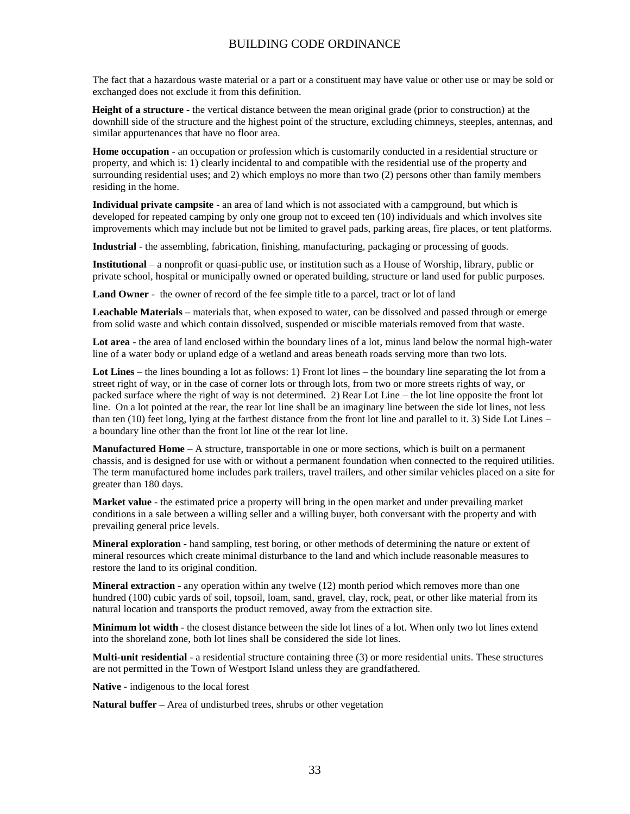The fact that a hazardous waste material or a part or a constituent may have value or other use or may be sold or exchanged does not exclude it from this definition.

 **Height of a structure** - the vertical distance between the mean original grade (prior to construction) at the downhill side of the structure and the highest point of the structure, excluding chimneys, steeples, antennas, and similar appurtenances that have no floor area.

**Home occupation** - an occupation or profession which is customarily conducted in a residential structure or property, and which is: 1) clearly incidental to and compatible with the residential use of the property and surrounding residential uses; and 2) which employs no more than two (2) persons other than family members residing in the home.

**Individual private campsite** - an area of land which is not associated with a campground, but which is developed for repeated camping by only one group not to exceed ten (10) individuals and which involves site improvements which may include but not be limited to gravel pads, parking areas, fire places, or tent platforms.

**Industrial** - the assembling, fabrication, finishing, manufacturing, packaging or processing of goods.

**Institutional** – a nonprofit or quasi-public use, or institution such as a House of Worship, library, public or private school, hospital or municipally owned or operated building, structure or land used for public purposes.

**Land Owner** - the owner of record of the fee simple title to a parcel, tract or lot of land

**Leachable Materials –** materials that, when exposed to water, can be dissolved and passed through or emerge from solid waste and which contain dissolved, suspended or miscible materials removed from that waste.

**Lot area** - the area of land enclosed within the boundary lines of a lot, minus land below the normal high-water line of a water body or upland edge of a wetland and areas beneath roads serving more than two lots.

**Lot Lines** – the lines bounding a lot as follows: 1) Front lot lines – the boundary line separating the lot from a street right of way, or in the case of corner lots or through lots, from two or more streets rights of way, or packed surface where the right of way is not determined. 2) Rear Lot Line – the lot line opposite the front lot line. On a lot pointed at the rear, the rear lot line shall be an imaginary line between the side lot lines, not less than ten (10) feet long, lying at the farthest distance from the front lot line and parallel to it. 3) Side Lot Lines – a boundary line other than the front lot line ot the rear lot line.

**Manufactured Home** – A structure, transportable in one or more sections, which is built on a permanent chassis, and is designed for use with or without a permanent foundation when connected to the required utilities. The term manufactured home includes park trailers, travel trailers, and other similar vehicles placed on a site for greater than 180 days.

**Market value** - the estimated price a property will bring in the open market and under prevailing market conditions in a sale between a willing seller and a willing buyer, both conversant with the property and with prevailing general price levels.

**Mineral exploration** - hand sampling, test boring, or other methods of determining the nature or extent of mineral resources which create minimal disturbance to the land and which include reasonable measures to restore the land to its original condition.

**Mineral extraction** - any operation within any twelve (12) month period which removes more than one hundred (100) cubic yards of soil, topsoil, loam, sand, gravel, clay, rock, peat, or other like material from its natural location and transports the product removed, away from the extraction site.

**Minimum lot width** - the closest distance between the side lot lines of a lot. When only two lot lines extend into the shoreland zone, both lot lines shall be considered the side lot lines.

**Multi-unit residential** - a residential structure containing three (3) or more residential units. These structures are not permitted in the Town of Westport Island unless they are grandfathered.

**Native -** indigenous to the local forest

**Natural buffer –** Area of undisturbed trees, shrubs or other vegetation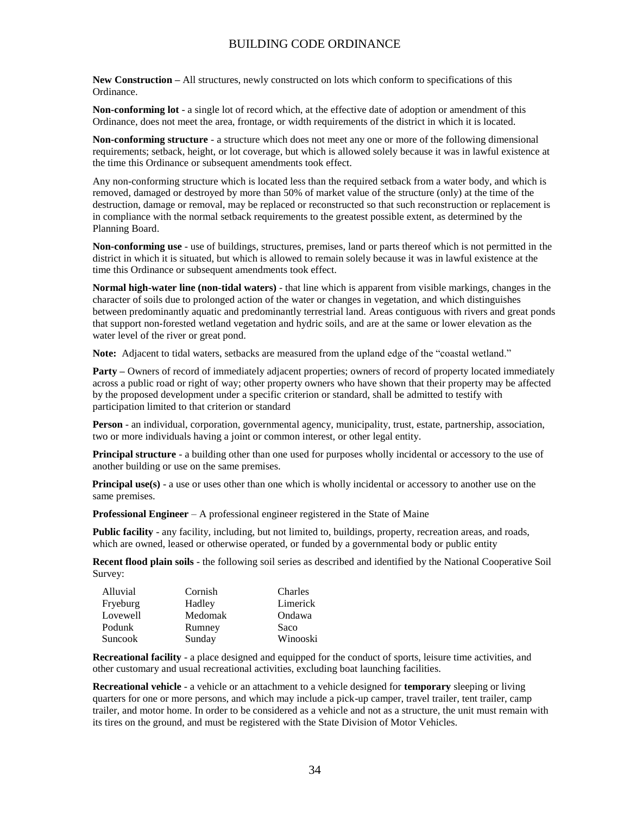**New Construction –** All structures, newly constructed on lots which conform to specifications of this Ordinance.

**Non-conforming lot** - a single lot of record which, at the effective date of adoption or amendment of this Ordinance, does not meet the area, frontage, or width requirements of the district in which it is located.

**Non-conforming structure** - a structure which does not meet any one or more of the following dimensional requirements; setback, height, or lot coverage, but which is allowed solely because it was in lawful existence at the time this Ordinance or subsequent amendments took effect.

Any non-conforming structure which is located less than the required setback from a water body, and which is removed, damaged or destroyed by more than 50% of market value of the structure (only) at the time of the destruction, damage or removal, may be replaced or reconstructed so that such reconstruction or replacement is in compliance with the normal setback requirements to the greatest possible extent, as determined by the Planning Board.

**Non-conforming use** - use of buildings, structures, premises, land or parts thereof which is not permitted in the district in which it is situated, but which is allowed to remain solely because it was in lawful existence at the time this Ordinance or subsequent amendments took effect.

**Normal high-water line (non-tidal waters)** - that line which is apparent from visible markings, changes in the character of soils due to prolonged action of the water or changes in vegetation, and which distinguishes between predominantly aquatic and predominantly terrestrial land. Areas contiguous with rivers and great ponds that support non-forested wetland vegetation and hydric soils, and are at the same or lower elevation as the water level of the river or great pond.

**Note:** Adjacent to tidal waters, setbacks are measured from the upland edge of the "coastal wetland."

**Party** – Owners of record of immediately adjacent properties; owners of record of property located immediately across a public road or right of way; other property owners who have shown that their property may be affected by the proposed development under a specific criterion or standard, shall be admitted to testify with participation limited to that criterion or standard

**Person** - an individual, corporation, governmental agency, municipality, trust, estate, partnership, association, two or more individuals having a joint or common interest, or other legal entity.

**Principal structure** - a building other than one used for purposes wholly incidental or accessory to the use of another building or use on the same premises.

**Principal use(s)** - a use or uses other than one which is wholly incidental or accessory to another use on the same premises.

**Professional Engineer** – A professional engineer registered in the State of Maine

Public facility - any facility, including, but not limited to, buildings, property, recreation areas, and roads, which are owned, leased or otherwise operated, or funded by a governmental body or public entity

**Recent flood plain soils** - the following soil series as described and identified by the National Cooperative Soil Survey:

| Alluvial | Cornish | Charles  |
|----------|---------|----------|
| Fryeburg | Hadley  | Limerick |
| Lovewell | Medomak | Ondawa   |
| Podunk   | Rumney  | Saco     |
| Suncook  | Sunday  | Winooski |

**Recreational facility** - a place designed and equipped for the conduct of sports, leisure time activities, and other customary and usual recreational activities, excluding boat launching facilities.

**Recreational vehicle** - a vehicle or an attachment to a vehicle designed for **temporary** sleeping or living quarters for one or more persons, and which may include a pick-up camper, travel trailer, tent trailer, camp trailer, and motor home. In order to be considered as a vehicle and not as a structure, the unit must remain with its tires on the ground, and must be registered with the State Division of Motor Vehicles.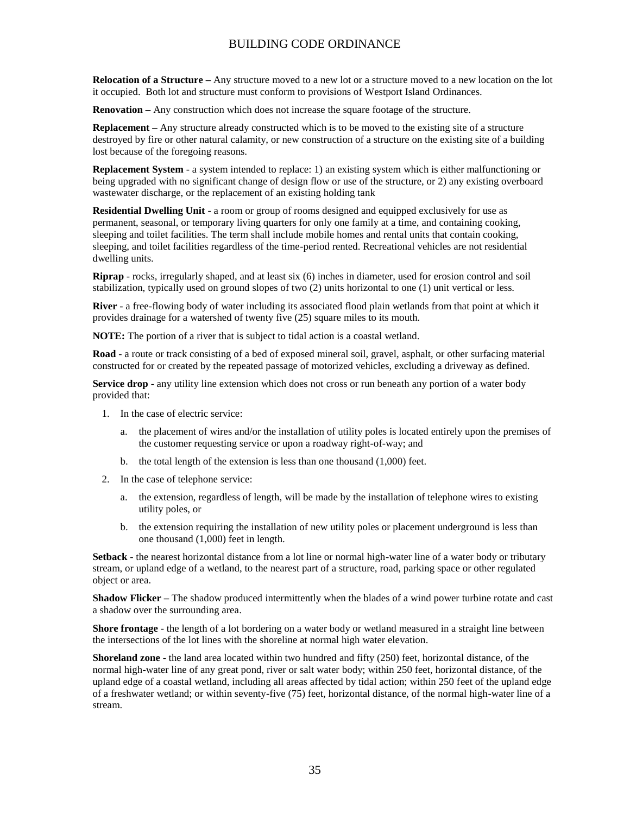**Relocation of a Structure –** Any structure moved to a new lot or a structure moved to a new location on the lot it occupied. Both lot and structure must conform to provisions of Westport Island Ordinances.

**Renovation –** Any construction which does not increase the square footage of the structure.

**Replacement –** Any structure already constructed which is to be moved to the existing site of a structure destroyed by fire or other natural calamity, or new construction of a structure on the existing site of a building lost because of the foregoing reasons.

**Replacement System** - a system intended to replace: 1) an existing system which is either malfunctioning or being upgraded with no significant change of design flow or use of the structure, or 2) any existing overboard wastewater discharge, or the replacement of an existing holding tank

**Residential Dwelling Unit** - a room or group of rooms designed and equipped exclusively for use as permanent, seasonal, or temporary living quarters for only one family at a time, and containing cooking, sleeping and toilet facilities. The term shall include mobile homes and rental units that contain cooking, sleeping, and toilet facilities regardless of the time-period rented. Recreational vehicles are not residential dwelling units.

**Riprap** - rocks, irregularly shaped, and at least six (6) inches in diameter, used for erosion control and soil stabilization, typically used on ground slopes of two (2) units horizontal to one (1) unit vertical or less.

**River** - a free-flowing body of water including its associated flood plain wetlands from that point at which it provides drainage for a watershed of twenty five (25) square miles to its mouth.

**NOTE:** The portion of a river that is subject to tidal action is a coastal wetland.

**Road** - a route or track consisting of a bed of exposed mineral soil, gravel, asphalt, or other surfacing material constructed for or created by the repeated passage of motorized vehicles, excluding a driveway as defined.

**Service drop** - any utility line extension which does not cross or run beneath any portion of a water body provided that:

- 1. In the case of electric service:
	- a. the placement of wires and/or the installation of utility poles is located entirely upon the premises of the customer requesting service or upon a roadway right-of-way; and
	- b. the total length of the extension is less than one thousand (1,000) feet.
- 2. In the case of telephone service:
	- a. the extension, regardless of length, will be made by the installation of telephone wires to existing utility poles, or
	- b. the extension requiring the installation of new utility poles or placement underground is less than one thousand (1,000) feet in length.

**Setback** - the nearest horizontal distance from a lot line or normal high-water line of a water body or tributary stream, or upland edge of a wetland, to the nearest part of a structure, road, parking space or other regulated object or area.

**Shadow Flicker –** The shadow produced intermittently when the blades of a wind power turbine rotate and cast a shadow over the surrounding area.

**Shore frontage** - the length of a lot bordering on a water body or wetland measured in a straight line between the intersections of the lot lines with the shoreline at normal high water elevation.

**Shoreland zone** - the land area located within two hundred and fifty (250) feet, horizontal distance, of the normal high-water line of any great pond, river or salt water body; within 250 feet, horizontal distance, of the upland edge of a coastal wetland, including all areas affected by tidal action; within 250 feet of the upland edge of a freshwater wetland; or within seventy-five (75) feet, horizontal distance, of the normal high-water line of a stream.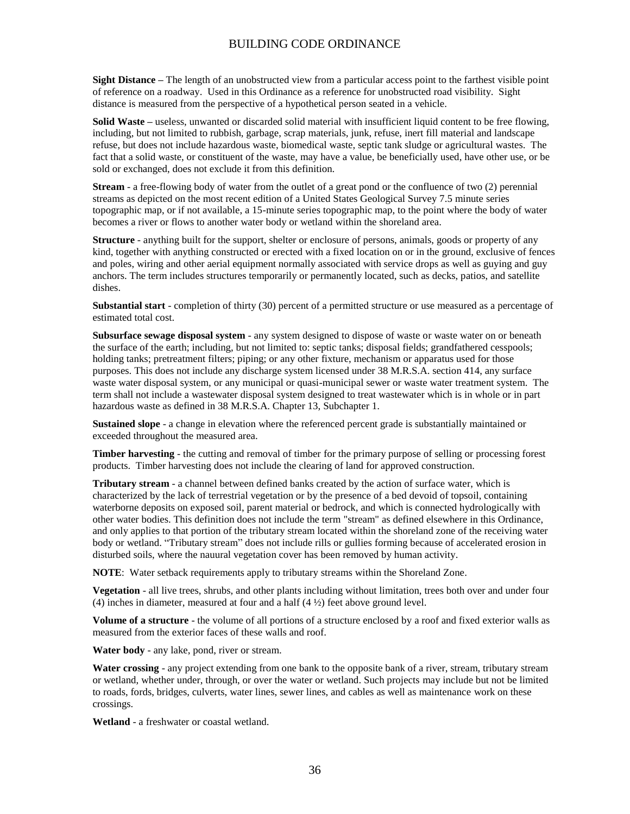**Sight Distance –** The length of an unobstructed view from a particular access point to the farthest visible point of reference on a roadway. Used in this Ordinance as a reference for unobstructed road visibility. Sight distance is measured from the perspective of a hypothetical person seated in a vehicle.

**Solid Waste –** useless, unwanted or discarded solid material with insufficient liquid content to be free flowing, including, but not limited to rubbish, garbage, scrap materials, junk, refuse, inert fill material and landscape refuse, but does not include hazardous waste, biomedical waste, septic tank sludge or agricultural wastes. The fact that a solid waste, or constituent of the waste, may have a value, be beneficially used, have other use, or be sold or exchanged, does not exclude it from this definition.

**Stream** - a free-flowing body of water from the outlet of a great pond or the confluence of two (2) perennial streams as depicted on the most recent edition of a United States Geological Survey 7.5 minute series topographic map, or if not available, a 15-minute series topographic map, to the point where the body of water becomes a river or flows to another water body or wetland within the shoreland area.

**Structure** - anything built for the support, shelter or enclosure of persons, animals, goods or property of any kind, together with anything constructed or erected with a fixed location on or in the ground, exclusive of fences and poles, wiring and other aerial equipment normally associated with service drops as well as guying and guy anchors. The term includes structures temporarily or permanently located, such as decks, patios, and satellite dishes.

**Substantial start** - completion of thirty (30) percent of a permitted structure or use measured as a percentage of estimated total cost.

**Subsurface sewage disposal system** - any system designed to dispose of waste or waste water on or beneath the surface of the earth; including, but not limited to: septic tanks; disposal fields; grandfathered cesspools; holding tanks; pretreatment filters; piping; or any other fixture, mechanism or apparatus used for those purposes. This does not include any discharge system licensed under 38 M.R.S.A. section 414, any surface waste water disposal system, or any municipal or quasi-municipal sewer or waste water treatment system. The term shall not include a wastewater disposal system designed to treat wastewater which is in whole or in part hazardous waste as defined in 38 M.R.S.A. Chapter 13, Subchapter 1.

**Sustained slope** - a change in elevation where the referenced percent grade is substantially maintained or exceeded throughout the measured area.

**Timber harvesting** - the cutting and removal of timber for the primary purpose of selling or processing forest products. Timber harvesting does not include the clearing of land for approved construction.

**Tributary stream** - a channel between defined banks created by the action of surface water, which is characterized by the lack of terrestrial vegetation or by the presence of a bed devoid of topsoil, containing waterborne deposits on exposed soil, parent material or bedrock, and which is connected hydrologically with other water bodies. This definition does not include the term "stream" as defined elsewhere in this Ordinance, and only applies to that portion of the tributary stream located within the shoreland zone of the receiving water body or wetland. "Tributary stream" does not include rills or gullies forming because of accelerated erosion in disturbed soils, where the nauural vegetation cover has been removed by human activity.

**NOTE**: Water setback requirements apply to tributary streams within the Shoreland Zone.

**Vegetation** - all live trees, shrubs, and other plants including without limitation, trees both over and under four (4) inches in diameter, measured at four and a half  $(4 \frac{1}{2})$  feet above ground level.

**Volume of a structure** - the volume of all portions of a structure enclosed by a roof and fixed exterior walls as measured from the exterior faces of these walls and roof.

**Water body** - any lake, pond, river or stream.

**Water crossing** - any project extending from one bank to the opposite bank of a river, stream, tributary stream or wetland, whether under, through, or over the water or wetland. Such projects may include but not be limited to roads, fords, bridges, culverts, water lines, sewer lines, and cables as well as maintenance work on these crossings.

**Wetland** - a freshwater or coastal wetland.